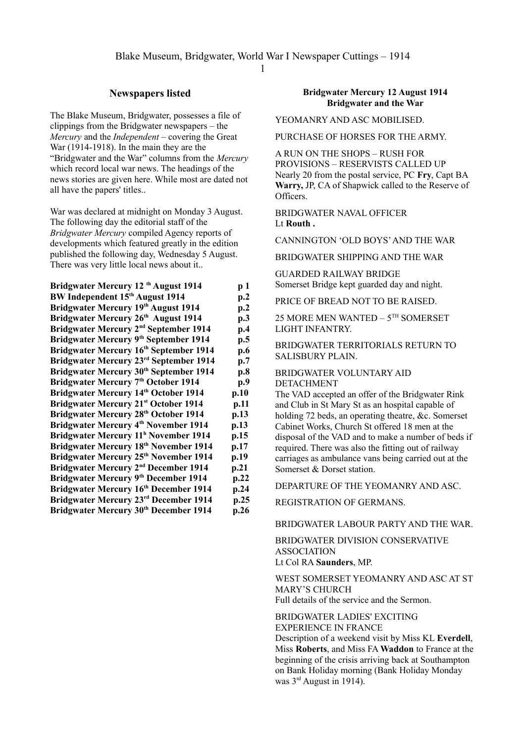## **Newspapers listed**

The Blake Museum, Bridgwater, possesses a file of clippings from the Bridgwater newspapers – the *Mercury* and the *Independent* – covering the Great War (1914-1918). In the main they are the "Bridgwater and the War" columns from the *Mercury* which record local war news. The headings of the news stories are given here. While most are dated not all have the papers' titles..

War was declared at midnight on Monday 3 August. The following day the editorial staff of the *Bridgwater Mercury* compiled Agency reports of developments which featured greatly in the edition published the following day, Wednesday 5 August. There was very little local news about it..

| Bridgwater Mercury 12 <sup>th</sup> August 1914    | p 1  |
|----------------------------------------------------|------|
| BW Independent 15th August 1914                    | p.2  |
| Bridgwater Mercury 19th August 1914                | p.2  |
| Bridgwater Mercury 26th August 1914                | p.3  |
| Bridgwater Mercury 2 <sup>nd</sup> September 1914  | p.4  |
| Bridgwater Mercury 9th September 1914              | p.5  |
| Bridgwater Mercury 16th September 1914             | p.6  |
| Bridgwater Mercury 23rd September 1914             | p.7  |
| Bridgwater Mercury 30 <sup>th</sup> September 1914 | p.8  |
| Bridgwater Mercury 7th October 1914                | p.9  |
| <b>Bridgwater Mercury 14th October 1914</b>        | p.10 |
| <b>Bridgwater Mercury 21st October 1914</b>        | p.11 |
| <b>Bridgwater Mercury 28th October 1914</b>        | p.13 |
| Bridgwater Mercury 4 <sup>th</sup> November 1914   | p.13 |
| Bridgwater Mercury 11 <sup>h</sup> November 1914   | p.15 |
| Bridgwater Mercury 18 <sup>th</sup> November 1914  | p.17 |
| Bridgwater Mercury 25 <sup>th</sup> November 1914  | p.19 |
| Bridgwater Mercury 2 <sup>nd</sup> December 1914   | p.21 |
| Bridgwater Mercury 9th December 1914               | p.22 |
| Bridgwater Mercury 16th December 1914              | p.24 |
| Bridgwater Mercury 23rd December 1914              | p.25 |
| Bridgwater Mercury 30 <sup>th</sup> December 1914  | p.26 |
|                                                    |      |

## **Bridgwater Mercury 12 August 1914 Bridgwater and the War**

YEOMANRY AND ASC MOBILISED.

PURCHASE OF HORSES FOR THE ARMY.

A RUN ON THE SHOPS – RUSH FOR PROVISIONS – RESERVISTS CALLED UP Nearly 20 from the postal service, PC **Fry**, Capt BA **Warry,** JP, CA of Shapwick called to the Reserve of Officers.

BRIDGWATER NAVAL OFFICER Lt **Routh .**

CANNINGTON 'OLD BOYS' AND THE WAR

BRIDGWATER SHIPPING AND THE WAR

GUARDED RAILWAY BRIDGE Somerset Bridge kept guarded day and night.

PRICE OF BREAD NOT TO BE RAISED.

25 MORE MEN WANTED – 5TH SOMERSET LIGHT INFANTRY.

BRIDGWATER TERRITORIALS RETURN TO SALISBURY PLAIN.

BRIDGWATER VOLUNTARY AID DETACHMENT

The VAD accepted an offer of the Bridgwater Rink and Club in St Mary St as an hospital capable of holding 72 beds, an operating theatre, &c. Somerset Cabinet Works, Church St offered 18 men at the disposal of the VAD and to make a number of beds if required. There was also the fitting out of railway carriages as ambulance vans being carried out at the Somerset & Dorset station.

DEPARTURE OF THE YEOMANRY AND ASC.

REGISTRATION OF GERMANS.

BRIDGWATER LABOUR PARTY AND THE WAR.

BRIDGWATER DIVISION CONSERVATIVE ASSOCIATION Lt Col RA **Saunders**, MP.

WEST SOMERSET YEOMANRY AND ASC AT ST MARY'S CHURCH Full details of the service and the Sermon.

BRIDGWATER LADIES' EXCITING

EXPERIENCE IN FRANCE

Description of a weekend visit by Miss KL **Everdell**, Miss **Roberts**, and Miss FA **Waddon** to France at the beginning of the crisis arriving back at Southampton on Bank Holiday morning (Bank Holiday Monday was 3rd August in 1914).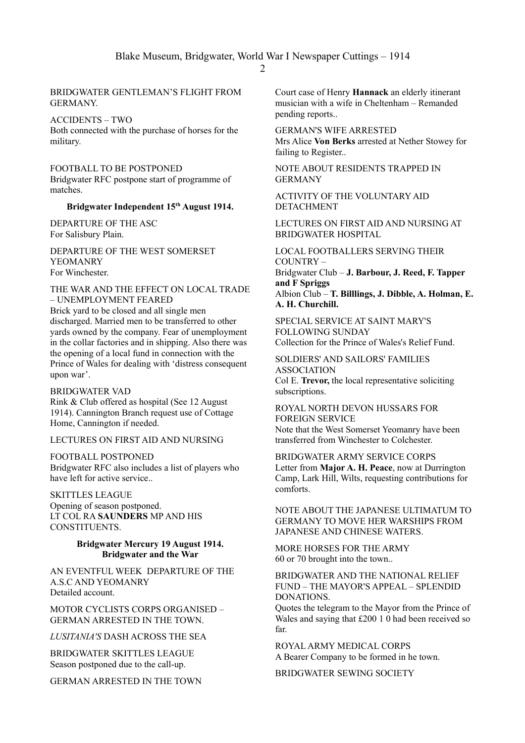## BRIDGWATER GENTLEMAN'S FLIGHT FROM **GERMANY**

ACCIDENTS – TWO

Both connected with the purchase of horses for the military.

FOOTBALL TO BE POSTPONED Bridgwater RFC postpone start of programme of matches.

## **Bridgwater Independent 15th August 1914.**

DEPARTURE OF THE ASC For Salisbury Plain.

DEPARTURE OF THE WEST SOMERSET **YEOMANRY** For Winchester.

THE WAR AND THE EFFECT ON LOCAL TRADE – UNEMPLOYMENT FEARED Brick yard to be closed and all single men discharged. Married men to be transferred to other

yards owned by the company. Fear of unemployment in the collar factories and in shipping. Also there was the opening of a local fund in connection with the Prince of Wales for dealing with 'distress consequent upon war'.

BRIDGWATER VAD Rink & Club offered as hospital (See 12 August 1914). Cannington Branch request use of Cottage Home, Cannington if needed.

LECTURES ON FIRST AID AND NURSING

FOOTBALL POSTPONED Bridgwater RFC also includes a list of players who have left for active service..

SKITTLES LEAGUE Opening of season postponed. LT COL RA **SAUNDERS** MP AND HIS CONSTITUENTS.

## **Bridgwater Mercury 19 August 1914. Bridgwater and the War**

AN EVENTFUL WEEK DEPARTURE OF THE A.S.C AND YEOMANRY Detailed account.

MOTOR CYCLISTS CORPS ORGANISED – GERMAN ARRESTED IN THE TOWN.

*LUSITANIA'S* DASH ACROSS THE SEA

BRIDGWATER SKITTLES LEAGUE Season postponed due to the call-up.

GERMAN ARRESTED IN THE TOWN

Court case of Henry **Hannack** an elderly itinerant musician with a wife in Cheltenham – Remanded pending reports..

GERMAN'S WIFE ARRESTED Mrs Alice **Von Berks** arrested at Nether Stowey for failing to Register..

NOTE ABOUT RESIDENTS TRAPPED IN GERMANY

ACTIVITY OF THE VOLUNTARY AID DETACHMENT

LECTURES ON FIRST AID AND NURSING AT BRIDGWATER HOSPITAL

LOCAL FOOTBALLERS SERVING THEIR COUNTRY – Bridgwater Club – **J. Barbour, J. Reed, F. Tapper and F Spriggs** Albion Club – **T. Billlings, J. Dibble, A. Holman, E. A. H. Churchill.**

SPECIAL SERVICE AT SAINT MARY'S FOLLOWING SUNDAY Collection for the Prince of Wales's Relief Fund.

SOLDIERS' AND SAILORS' FAMILIES ASSOCIATION Col E. **Trevor,** the local representative soliciting subscriptions.

ROYAL NORTH DEVON HUSSARS FOR FOREIGN SERVICE Note that the West Somerset Yeomanry have been transferred from Winchester to Colchester.

BRIDGWATER ARMY SERVICE CORPS Letter from **Major A. H. Peace**, now at Durrington Camp, Lark Hill, Wilts, requesting contributions for comforts.

NOTE ABOUT THE JAPANESE ULTIMATUM TO GERMANY TO MOVE HER WARSHIPS FROM JAPANESE AND CHINESE WATERS.

MORE HORSES FOR THE ARMY 60 or 70 brought into the town..

BRIDGWATER AND THE NATIONAL RELIEF FUND – THE MAYOR'S APPEAL – SPLENDID **DONATIONS** 

Quotes the telegram to the Mayor from the Prince of Wales and saying that £200 1 0 had been received so far.

ROYAL ARMY MEDICAL CORPS A Bearer Company to be formed in he town.

BRIDGWATER SEWING SOCIETY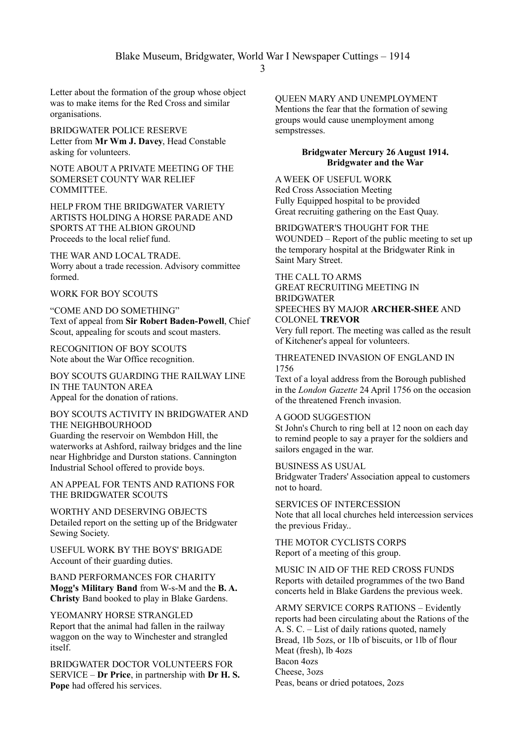Letter about the formation of the group whose object was to make items for the Red Cross and similar organisations.

BRIDGWATER POLICE RESERVE Letter from **Mr Wm J. Davey**, Head Constable asking for volunteers.

NOTE ABOUT A PRIVATE MEETING OF THE SOMERSET COUNTY WAR RELIEF **COMMITTEE** 

HELP FROM THE BRIDGWATER VARIETY ARTISTS HOLDING A HORSE PARADE AND SPORTS AT THE ALBION GROUND Proceeds to the local relief fund.

THE WAR AND LOCAL TRADE. Worry about a trade recession. Advisory committee formed.

#### WORK FOR BOY SCOUTS

"COME AND DO SOMETHING" Text of appeal from **Sir Robert Baden-Powell**, Chief Scout, appealing for scouts and scout masters.

RECOGNITION OF BOY SCOUTS Note about the War Office recognition.

BOY SCOUTS GUARDING THE RAILWAY LINE IN THE TAUNTON AREA Appeal for the donation of rations.

## BOY SCOUTS ACTIVITY IN BRIDGWATER AND THE NEIGHBOURHOOD Guarding the reservoir on Wembdon Hill, the waterworks at Ashford, railway bridges and the line near Highbridge and Durston stations. Cannington Industrial School offered to provide boys.

AN APPEAL FOR TENTS AND RATIONS FOR THE BRIDGWATER SCOUTS

WORTHY AND DESERVING OBJECTS Detailed report on the setting up of the Bridgwater Sewing Society.

USEFUL WORK BY THE BOYS' BRIGADE Account of their guarding duties.

BAND PERFORMANCES FOR CHARITY **Mogg's Military Band** from W-s-M and the **B. A. Christy** Band booked to play in Blake Gardens.

YEOMANRY HORSE STRANGLED Report that the animal had fallen in the railway waggon on the way to Winchester and strangled itself.

BRIDGWATER DOCTOR VOLUNTEERS FOR SERVICE – **Dr Price**, in partnership with **Dr H. S. Pope** had offered his services.

QUEEN MARY AND UNEMPLOYMENT Mentions the fear that the formation of sewing groups would cause unemployment among sempstresses.

#### **Bridgwater Mercury 26 August 1914. Bridgwater and the War**

A WEEK OF USEFUL WORK Red Cross Association Meeting Fully Equipped hospital to be provided Great recruiting gathering on the East Quay.

BRIDGWATER'S THOUGHT FOR THE WOUNDED – Report of the public meeting to set up the temporary hospital at the Bridgwater Rink in Saint Mary Street.

#### THE CALL TO ARMS GREAT RECRUITING MEETING IN **BRIDGWATER** SPEECHES BY MAJOR **ARCHER-SHEE** AND COLONEL **TREVOR**

Very full report. The meeting was called as the result of Kitchener's appeal for volunteers.

## THREATENED INVASION OF ENGLAND IN 1756

Text of a loyal address from the Borough published in the *London Gazette* 24 April 1756 on the occasion of the threatened French invasion.

#### A GOOD SUGGESTION

St John's Church to ring bell at 12 noon on each day to remind people to say a prayer for the soldiers and sailors engaged in the war.

BUSINESS AS USUAL

Bridgwater Traders' Association appeal to customers not to hoard.

SERVICES OF INTERCESSION Note that all local churches held intercession services the previous Friday..

THE MOTOR CYCLISTS CORPS Report of a meeting of this group.

MUSIC IN AID OF THE RED CROSS FUNDS Reports with detailed programmes of the two Band concerts held in Blake Gardens the previous week.

ARMY SERVICE CORPS RATIONS – Evidently reports had been circulating about the Rations of the A. S. C. – List of daily rations quoted, namely Bread, 1lb 5ozs, or 1lb of biscuits, or 1lb of flour Meat (fresh), lb 4ozs Bacon 4ozs Cheese, 3ozs Peas, beans or dried potatoes, 2ozs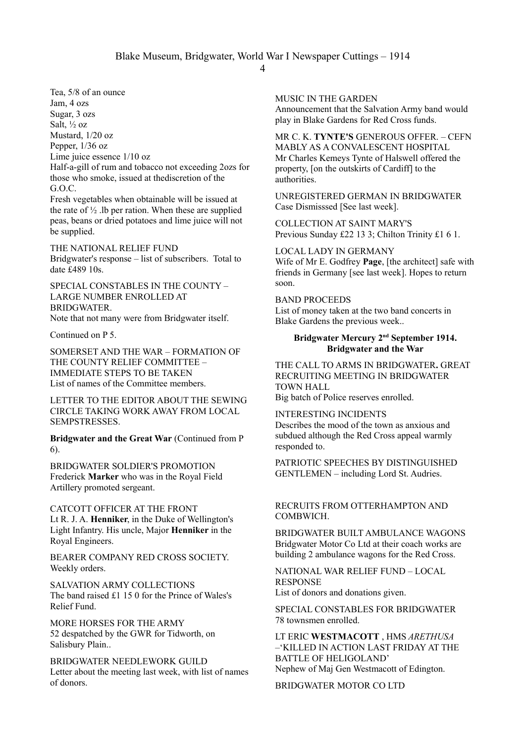4

Tea, 5/8 of an ounce Jam, 4 ozs Sugar, 3 ozs Salt, ½ oz Mustard, 1/20 oz Pepper, 1/36 oz Lime juice essence 1/10 oz Half-a-gill of rum and tobacco not exceeding 2ozs for those who smoke, issued at thediscretion of the G.O.C.

Fresh vegetables when obtainable will be issued at the rate of  $\frac{1}{2}$ . Ib per ration. When these are supplied peas, beans or dried potatoes and lime juice will not be supplied.

THE NATIONAL RELIEF FUND Bridgwater's response – list of subscribers. Total to date £489 10s.

SPECIAL CONSTABLES IN THE COUNTY – LARGE NUMBER ENROLLED AT **BRIDGWATER** 

Note that not many were from Bridgwater itself.

Continued on P 5.

SOMERSET AND THE WAR – FORMATION OF THE COUNTY RELIEF COMMITTEE – IMMEDIATE STEPS TO BE TAKEN List of names of the Committee members.

LETTER TO THE EDITOR ABOUT THE SEWING CIRCLE TAKING WORK AWAY FROM LOCAL **SEMPSTRESSES** 

**Bridgwater and the Great War** (Continued from P 6).

BRIDGWATER SOLDIER'S PROMOTION Frederick **Marker** who was in the Royal Field Artillery promoted sergeant.

CATCOTT OFFICER AT THE FRONT Lt R. J. A. **Henniker**, in the Duke of Wellington's Light Infantry. His uncle, Major **Henniker** in the Royal Engineers.

BEARER COMPANY RED CROSS SOCIETY. Weekly orders.

SALVATION ARMY COLLECTIONS The band raised £1 15 0 for the Prince of Wales's Relief Fund.

MORE HORSES FOR THE ARMY 52 despatched by the GWR for Tidworth, on Salisbury Plain..

BRIDGWATER NEEDLEWORK GUILD Letter about the meeting last week, with list of names of donors.

MUSIC IN THE GARDEN

Announcement that the Salvation Army band would play in Blake Gardens for Red Cross funds.

MR C. K. **TYNTE'S** GENEROUS OFFER. – CEFN MABLY AS A CONVALESCENT HOSPITAL Mr Charles Kemeys Tynte of Halswell offered the property, [on the outskirts of Cardiff] to the authorities.

UNREGISTERED GERMAN IN BRIDGWATER Case Dismisssed [See last week].

COLLECTION AT SAINT MARY'S Previous Sunday £22 13 3; Chilton Trinity £1 6 1.

LOCAL LADY IN GERMANY Wife of Mr E. Godfrey **Page**, [the architect] safe with friends in Germany [see last week]. Hopes to return soon.

BAND PROCEEDS List of money taken at the two band concerts in Blake Gardens the previous week..

## **Bridgwater Mercury 2nd September 1914. Bridgwater and the War**

THE CALL TO ARMS IN BRIDGWATER**.** GREAT RECRUITING MEETING IN BRIDGWATER TOWN HALL

Big batch of Police reserves enrolled.

INTERESTING INCIDENTS Describes the mood of the town as anxious and subdued although the Red Cross appeal warmly responded to.

PATRIOTIC SPEECHES BY DISTINGUISHED GENTLEMEN – including Lord St. Audries.

## RECRUITS FROM OTTERHAMPTON AND COMBWICH.

BRIDGWATER BUILT AMBULANCE WAGONS Bridgwater Motor Co Ltd at their coach works are building 2 ambulance wagons for the Red Cross.

NATIONAL WAR RELIEF FUND – LOCAL RESPONSE List of donors and donations given.

SPECIAL CONSTABLES FOR BRIDGWATER 78 townsmen enrolled.

LT ERIC **WESTMACOTT** , HMS *ARETHUSA* –'KILLED IN ACTION LAST FRIDAY AT THE BATTLE OF HELIGOLAND' Nephew of Maj Gen Westmacott of Edington.

BRIDGWATER MOTOR CO LTD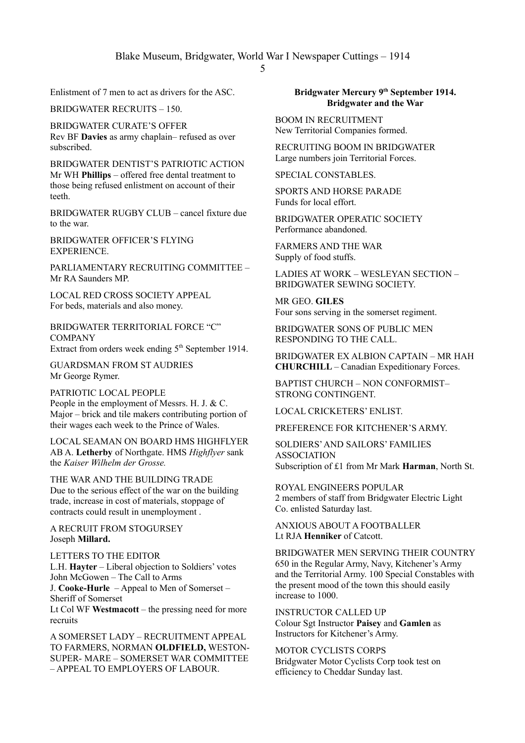Enlistment of 7 men to act as drivers for the ASC.

BRIDGWATER RECRUITS – 150.

BRIDGWATER CURATE'S OFFER Rev BF **Davies** as army chaplain– refused as over subscribed.

BRIDGWATER DENTIST'S PATRIOTIC ACTION Mr WH **Phillips** – offered free dental treatment to those being refused enlistment on account of their teeth.

BRIDGWATER RUGBY CLUB – cancel fixture due to the war.

BRIDGWATER OFFICER'S FLYING **EXPERIENCE.** 

PARLIAMENTARY RECRUITING COMMITTEE – Mr RA Saunders MP.

LOCAL RED CROSS SOCIETY APPEAL For beds, materials and also money.

BRIDGWATER TERRITORIAL FORCE "C" **COMPANY** 

Extract from orders week ending  $5<sup>th</sup>$  September 1914.

GUARDSMAN FROM ST AUDRIES Mr George Rymer.

PATRIOTIC LOCAL PEOPLE People in the employment of Messrs. H. J. & C. Major – brick and tile makers contributing portion of their wages each week to the Prince of Wales.

LOCAL SEAMAN ON BOARD HMS HIGHFLYER AB A. **Letherby** of Northgate. HMS *Highflyer* sank the *Kaiser Wilhelm der Grosse.*

THE WAR AND THE BUILDING TRADE Due to the serious effect of the war on the building trade, increase in cost of materials, stoppage of contracts could result in unemployment .

A RECRUIT FROM STOGURSEY Joseph **Millard.**

LETTERS TO THE EDITOR L.H. **Hayter** – Liberal objection to Soldiers' votes John McGowen – The Call to Arms J. **Cooke-Hurle** – Appeal to Men of Somerset – Sheriff of Somerset Lt Col WF **Westmacott** – the pressing need for more recruits

A SOMERSET LADY – RECRUITMENT APPEAL TO FARMERS, NORMAN **OLDFIELD,** WESTON-SUPER- MARE – SOMERSET WAR COMMITTEE – APPEAL TO EMPLOYERS OF LABOUR.

## **Bridgwater Mercury 9th September 1914. Bridgwater and the War**

BOOM IN RECRUITMENT New Territorial Companies formed.

RECRUITING BOOM IN BRIDGWATER Large numbers join Territorial Forces.

SPECIAL CONSTABLES.

SPORTS AND HORSE PARADE Funds for local effort.

BRIDGWATER OPERATIC SOCIETY Performance abandoned.

FARMERS AND THE WAR Supply of food stuffs.

LADIES AT WORK – WESLEYAN SECTION – BRIDGWATER SEWING SOCIETY.

MR GEO. **GILES** Four sons serving in the somerset regiment.

BRIDGWATER SONS OF PUBLIC MEN RESPONDING TO THE CALL.

BRIDGWATER EX ALBION CAPTAIN – MR HAH **CHURCHILL** – Canadian Expeditionary Forces.

BAPTIST CHURCH – NON CONFORMIST– STRONG CONTINGENT.

LOCAL CRICKETERS' ENLIST.

PREFERENCE FOR KITCHENER'S ARMY.

SOLDIERS' AND SAILORS' FAMILIES ASSOCIATION Subscription of £1 from Mr Mark **Harman**, North St.

ROYAL ENGINEERS POPULAR 2 members of staff from Bridgwater Electric Light Co. enlisted Saturday last.

ANXIOUS ABOUT A FOOTBALLER Lt RJA **Henniker** of Catcott.

BRIDGWATER MEN SERVING THEIR COUNTRY 650 in the Regular Army, Navy, Kitchener's Army and the Territorial Army. 100 Special Constables with the present mood of the town this should easily increase to 1000.

INSTRUCTOR CALLED UP Colour Sgt Instructor **Paisey** and **Gamlen** as Instructors for Kitchener's Army.

MOTOR CYCLISTS CORPS Bridgwater Motor Cyclists Corp took test on efficiency to Cheddar Sunday last.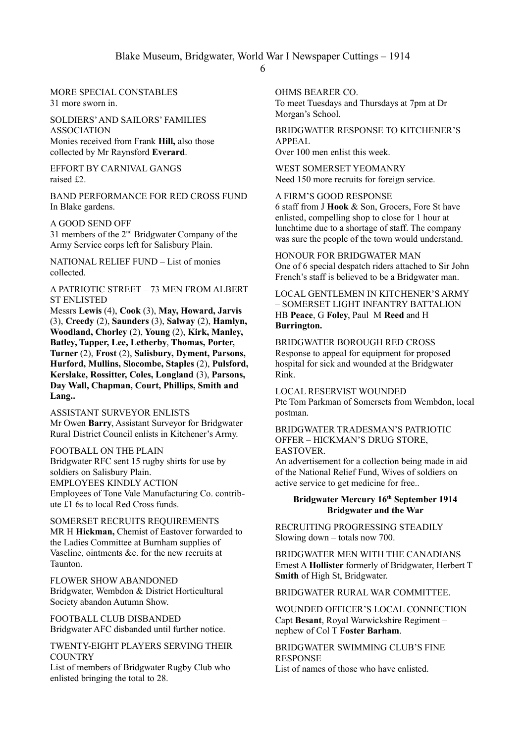MORE SPECIAL CONSTABLES 31 more sworn in.

#### SOLDIERS' AND SAILORS' FAMILIES ASSOCIATION

Monies received from Frank **Hill,** also those collected by Mr Raynsford **Everard**.

EFFORT BY CARNIVAL GANGS raised £2.

BAND PERFORMANCE FOR RED CROSS FUND In Blake gardens.

A GOOD SEND OFF

31 members of the 2nd Bridgwater Company of the Army Service corps left for Salisbury Plain.

NATIONAL RELIEF FUND – List of monies collected.

## A PATRIOTIC STREET – 73 MEN FROM ALBERT ST ENLISTED

Messrs **Lewis** (4), **Cook** (3), **May, Howard, Jarvis** (3), **Creedy** (2), **Saunders** (3), **Salway** (2), **Hamlyn, Woodland, Chorley** (2), **Young** (2), **Kirk, Manley, Batley, Tapper, Lee, Letherby**, **Thomas, Porter, Turner** (2), **Frost** (2), **Salisbury, Dyment, Parsons, Hurford, Mullins, Slocombe, Staples** (2), **Pulsford, Kerslake, Rossitter, Coles, Longland** (3), **Parsons, Day Wall, Chapman, Court, Phillips, Smith and Lang..**

ASSISTANT SURVEYOR ENLISTS Mr Owen **Barry**, Assistant Surveyor for Bridgwater Rural District Council enlists in Kitchener's Army.

FOOTBALL ON THE PLAIN Bridgwater RFC sent 15 rugby shirts for use by soldiers on Salisbury Plain. EMPLOYEES KINDLY ACTION Employees of Tone Vale Manufacturing Co. contribute £1 6s to local Red Cross funds.

SOMERSET RECRUITS REQUIREMENTS MR H **Hickman,** Chemist of Eastover forwarded to the Ladies Committee at Burnham supplies of Vaseline, ointments &c. for the new recruits at Taunton.

FLOWER SHOW ABANDONED Bridgwater, Wembdon & District Horticultural Society abandon Autumn Show.

FOOTBALL CLUB DISBANDED Bridgwater AFC disbanded until further notice.

TWENTY-EIGHT PLAYERS SERVING THEIR **COUNTRY** 

List of members of Bridgwater Rugby Club who enlisted bringing the total to 28.

OHMS BEARER CO. To meet Tuesdays and Thursdays at 7pm at Dr Morgan's School.

BRIDGWATER RESPONSE TO KITCHENER'S APPEAL Over 100 men enlist this week.

WEST SOMERSET YEOMANRY Need 150 more recruits for foreign service.

A FIRM'S GOOD RESPONSE 6 staff from J **Hook** & Son, Grocers, Fore St have enlisted, compelling shop to close for 1 hour at lunchtime due to a shortage of staff. The company was sure the people of the town would understand.

HONOUR FOR BRIDGWATER MAN One of 6 special despatch riders attached to Sir John French's staff is believed to be a Bridgwater man.

LOCAL GENTLEMEN IN KITCHENER'S ARMY – SOMERSET LIGHT INFANTRY BATTALION HB **Peace**, G **Foley**, Paul M **Reed** and H **Burrington.**

# BRIDGWATER BOROUGH RED CROSS

Response to appeal for equipment for proposed hospital for sick and wounded at the Bridgwater Rink.

LOCAL RESERVIST WOUNDED Pte Tom Parkman of Somersets from Wembdon, local postman.

#### BRIDGWATER TRADESMAN'S PATRIOTIC OFFER – HICKMAN'S DRUG STORE, EASTOVER.

An advertisement for a collection being made in aid of the National Relief Fund, Wives of soldiers on active service to get medicine for free..

## **Bridgwater Mercury 16th September 1914 Bridgwater and the War**

RECRUITING PROGRESSING STEADILY Slowing down – totals now 700.

BRIDGWATER MEN WITH THE CANADIANS Ernest A **Hollister** formerly of Bridgwater, Herbert T **Smith** of High St, Bridgwater.

BRIDGWATER RURAL WAR COMMITTEE.

WOUNDED OFFICER'S LOCAL CONNECTION – Capt **Besant**, Royal Warwickshire Regiment – nephew of Col T **Foster Barham**.

# BRIDGWATER SWIMMING CLUB'S FINE RESPONSE

List of names of those who have enlisted.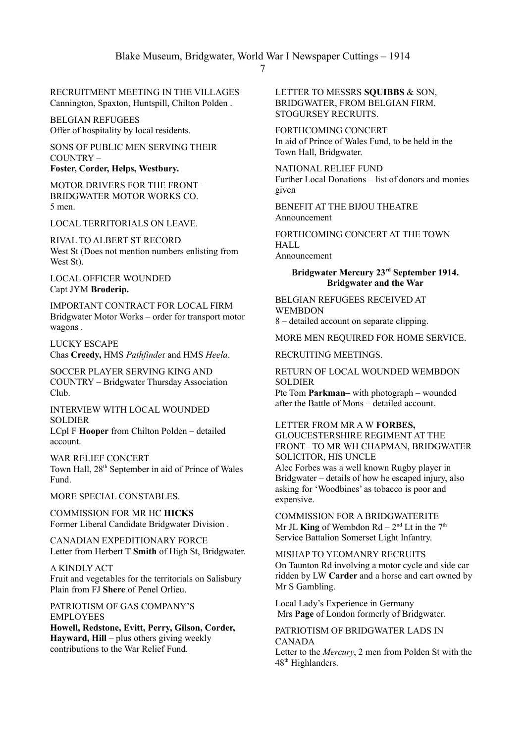RECRUITMENT MEETING IN THE VILLAGES Cannington, Spaxton, Huntspill, Chilton Polden .

BELGIAN REFUGEES Offer of hospitality by local residents.

SONS OF PUBLIC MEN SERVING THEIR COUNTRY – **Foster, Corder, Helps, Westbury.**

MOTOR DRIVERS FOR THE FRONT – BRIDGWATER MOTOR WORKS CO. 5 men.

LOCAL TERRITORIALS ON LEAVE.

RIVAL TO ALBERT ST RECORD West St (Does not mention numbers enlisting from West St).

LOCAL OFFICER WOUNDED Capt JYM **Broderip.**

IMPORTANT CONTRACT FOR LOCAL FIRM Bridgwater Motor Works – order for transport motor wagons .

LUCKY ESCAPE Chas **Creedy,** HMS *Pathfinde*r and HMS *Heela*.

SOCCER PLAYER SERVING KING AND COUNTRY – Bridgwater Thursday Association Club.

INTERVIEW WITH LOCAL WOUNDED **SOLDIER** LCpl F **Hooper** from Chilton Polden – detailed account.

WAR RELIEF CONCERT Town Hall,  $28<sup>th</sup>$  September in aid of Prince of Wales Fund.

MORE SPECIAL CONSTABLES.

COMMISSION FOR MR HC **HICKS** Former Liberal Candidate Bridgwater Division .

CANADIAN EXPEDITIONARY FORCE Letter from Herbert T **Smith** of High St, Bridgwater.

A KINDLY ACT Fruit and vegetables for the territorials on Salisbury Plain from FJ **Shere** of Penel Orlieu.

PATRIOTISM OF GAS COMPANY'S EMPLOYEES

**Howell, Redstone, Evitt, Perry, Gilson, Corder, Hayward, Hill** – plus others giving weekly contributions to the War Relief Fund.

LETTER TO MESSRS **SQUIBBS** & SON, BRIDGWATER, FROM BELGIAN FIRM. STOGURSEY RECRUITS.

FORTHCOMING CONCERT In aid of Prince of Wales Fund, to be held in the Town Hall, Bridgwater.

NATIONAL RELIEF FUND Further Local Donations – list of donors and monies given

BENEFIT AT THE BIJOU THEATRE Announcement

FORTHCOMING CONCERT AT THE TOWN HALL Announcement

## **Bridgwater Mercury 23rd September 1914. Bridgwater and the War**

BELGIAN REFUGEES RECEIVED AT **WEMBDON** 

8 – detailed account on separate clipping.

MORE MEN REQUIRED FOR HOME SERVICE.

RECRUITING MEETINGS.

#### RETURN OF LOCAL WOUNDED WEMBDON SOLDIER

Pte Tom **Parkman–** with photograph – wounded after the Battle of Mons – detailed account.

## LETTER FROM MR A W **FORBES,**

GLOUCESTERSHIRE REGIMENT AT THE FRONT– TO MR WH CHAPMAN, BRIDGWATER SOLICITOR, HIS UNCLE Alec Forbes was a well known Rugby player in Bridgwater – details of how he escaped injury, also asking for 'Woodbines' as tobacco is poor and expensive.

COMMISSION FOR A BRIDGWATERITE Mr JL **King** of Wembdon  $Rd - 2^{nd} Lt$  in the  $7<sup>th</sup>$ Service Battalion Somerset Light Infantry.

MISHAP TO YEOMANRY RECRUITS On Taunton Rd involving a motor cycle and side car ridden by LW **Carder** and a horse and cart owned by Mr S Gambling.

Local Lady's Experience in Germany Mrs **Page** of London formerly of Bridgwater.

PATRIOTISM OF BRIDGWATER LADS IN CANADA Letter to the *Mercury*, 2 men from Polden St with the 48<sup>th</sup> Highlanders.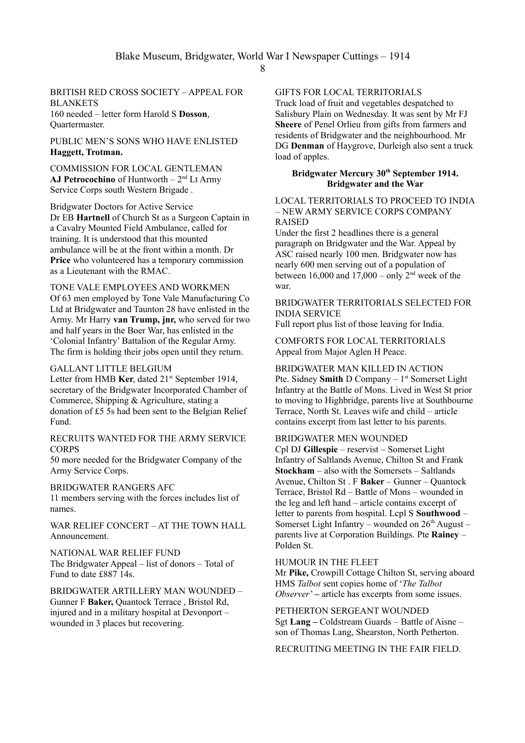#### BRITISH RED CROSS SOCIETY – APPEAL FOR **BLANKETS** 160 needed – letter form Harold S **Dosson**, Quartermaster.

PUBLIC MEN'S SONS WHO HAVE ENLISTED **Haggett, Trotman.**

COMMISSION FOR LOCAL GENTLEMAN **AJ Petrocochino** of Huntworth – 2nd Lt Army Service Corps south Western Brigade .

Bridgwater Doctors for Active Service Dr EB **Hartnell** of Church St as a Surgeon Captain in a Cavalry Mounted Field Ambulance, called for training. It is understood that this mounted ambulance will be at the front within a month. Dr **Price** who volunteered has a temporary commission as a Lieutenant with the RMAC.

## TONE VALE EMPLOYEES AND WORKMEN

Of 63 men employed by Tone Vale Manufacturing Co Ltd at Bridgwater and Taunton 28 have enlisted in the Army. Mr Harry **van Trump, jnr,** who served for two and half years in the Boer War, has enlisted in the 'Colonial Infantry' Battalion of the Regular Army. The firm is holding their jobs open until they return.

#### GALLANT LITTLE BELGIUM

Letter from HMB **Ker**, dated 21<sup>st</sup> September 1914, secretary of the Bridgwater Incorporated Chamber of Commerce, Shipping & Agriculture, stating a donation of £5 5s had been sent to the Belgian Relief Fund.

#### RECRUITS WANTED FOR THE ARMY SERVICE **CORPS**

50 more needed for the Bridgwater Company of the Army Service Corps.

## BRIDGWATER RANGERS AFC

11 members serving with the forces includes list of names.

WAR RELIEF CONCERT – AT THE TOWN HALL Announcement.

NATIONAL WAR RELIEF FUND The Bridgwater Appeal – list of donors – Total of Fund to date £887 14s.

BRIDGWATER ARTILLERY MAN WOUNDED – Gunner F **Baker,** Quantock Terrace , Bristol Rd, injured and in a military hospital at Devonport – wounded in 3 places but recovering.

GIFTS FOR LOCAL TERRITORIALS

Truck load of fruit and vegetables despatched to Salisbury Plain on Wednesday. It was sent by Mr FJ **Sheere** of Penel Orlieu from gifts from farmers and residents of Bridgwater and the neighbourhood. Mr DG **Denman** of Haygrove, Durleigh also sent a truck load of apples.

#### **Bridgwater Mercury 30th September 1914. Bridgwater and the War**

#### LOCAL TERRITORIALS TO PROCEED TO INDIA – NEW ARMY SERVICE CORPS COMPANY RAISED

Under the first 2 headlines there is a general paragraph on Bridgwater and the War. Appeal by ASC raised nearly 100 men. Bridgwater now has nearly 600 men serving out of a population of between 16,000 and 17,000 – only  $2<sup>nd</sup>$  week of the war.

## BRIDGWATER TERRITORIALS SELECTED FOR INDIA SERVICE

Full report plus list of those leaving for India.

COMFORTS FOR LOCAL TERRITORIALS Appeal from Major Aglen H Peace.

#### BRIDGWATER MAN KILLED IN ACTION

Pte. Sidney **Smith** D Company – 1<sup>st</sup> Somerset Light Infantry at the Battle of Mons. Lived in West St prior to moving to Highbridge, parents live at Southbourne Terrace, North St. Leaves wife and child – article contains excerpt from last letter to his parents.

#### BRIDGWATER MEN WOUNDED

Cpl DJ **Gillespie** – reservist – Somerset Light Infantry of Saltlands Avenue, Chilton St and Frank **Stockham** – also with the Somersets – Saltlands Avenue, Chilton St . F **Baker** – Gunner – Quantock Terrace, Bristol Rd – Battle of Mons – wounded in the leg and left hand – article contains excerpt of letter to parents from hospital. Lcpl S **Southwood** – Somerset Light Infantry – wounded on  $26<sup>th</sup>$  August – parents live at Corporation Buildings. Pte **Rainey** – Polden St.

#### HUMOUR IN THE FLEET

Mr **Pike,** Crowpill Cottage Chilton St, serving aboard HMS *Talbot* sent copies home of '*The Talbot Observer*' – article has excerpts from some issues.

PETHERTON SERGEANT WOUNDED Sgt **Lang –** Coldstream Guards – Battle of Aisne – son of Thomas Lang, Shearston, North Petherton.

RECRUITING MEETING IN THE FAIR FIELD.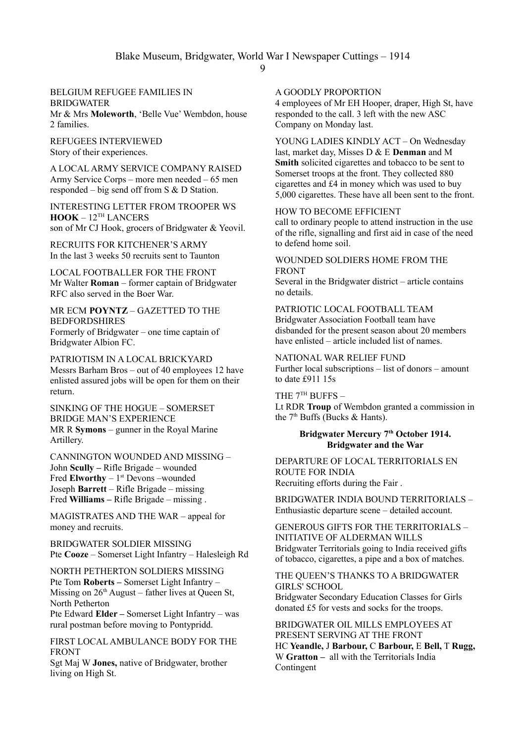#### BELGIUM REFUGEE FAMILIES IN **BRIDGWATER**

Mr & Mrs **Moleworth**, 'Belle Vue' Wembdon, house 2 families.

REFUGEES INTERVIEWED Story of their experiences.

A LOCAL ARMY SERVICE COMPANY RAISED Army Service Corps – more men needed – 65 men responded – big send off from S & D Station.

INTERESTING LETTER FROM TROOPER WS **HOOK** – 12TH LANCERS son of Mr CJ Hook, grocers of Bridgwater & Yeovil.

RECRUITS FOR KITCHENER'S ARMY In the last 3 weeks 50 recruits sent to Taunton

LOCAL FOOTBALLER FOR THE FRONT Mr Walter **Roman** – former captain of Bridgwater RFC also served in the Boer War.

MR ECM **POYNTZ** – GAZETTED TO THE BEDFORDSHIRES Formerly of Bridgwater – one time captain of Bridgwater Albion FC.

PATRIOTISM IN A LOCAL BRICKYARD Messrs Barham Bros – out of 40 employees 12 have enlisted assured jobs will be open for them on their return.

SINKING OF THE HOGUE – SOMERSET BRIDGE MAN'S EXPERIENCE MR R **Symons** – gunner in the Royal Marine Artillery.

CANNINGTON WOUNDED AND MISSING – John **Scully –** Rifle Brigade – wounded Fred **Elworthy**  $-1$ <sup>st</sup> Devons –wounded Joseph **Barrett** – Rifle Brigade – missing Fred **Williams –** Rifle Brigade – missing .

MAGISTRATES AND THE WAR – appeal for money and recruits.

BRIDGWATER SOLDIER MISSING Pte **Cooze** – Somerset Light Infantry – Halesleigh Rd

NORTH PETHERTON SOLDIERS MISSING Pte Tom **Roberts –** Somerset Light Infantry – Missing on  $26<sup>th</sup>$  August – father lives at Queen St, North Petherton

Pte Edward **Elder –** Somerset Light Infantry – was rural postman before moving to Pontypridd.

FIRST LOCAL AMBULANCE BODY FOR THE FRONT

Sgt Maj W **Jones,** native of Bridgwater, brother living on High St.

## A GOODLY PROPORTION

4 employees of Mr EH Hooper, draper, High St, have responded to the call. 3 left with the new ASC Company on Monday last.

YOUNG LADIES KINDLY ACT – On Wednesday last, market day, Misses D & E **Denman** and M **Smith** solicited cigarettes and tobacco to be sent to Somerset troops at the front. They collected 880 cigarettes and £4 in money which was used to buy 5,000 cigarettes. These have all been sent to the front.

#### HOW TO BECOME EFFICIENT

call to ordinary people to attend instruction in the use of the rifle, signalling and first aid in case of the need to defend home soil.

## WOUNDED SOLDIERS HOME FROM THE FRONT

Several in the Bridgwater district – article contains no details.

## PATRIOTIC LOCAL FOOTBALL TEAM

Bridgwater Association Football team have disbanded for the present season about 20 members have enlisted – article included list of names.

# NATIONAL WAR RELIEF FUND

Further local subscriptions – list of donors – amount to date £911 15s

THE  $7<sup>TH</sup>$  BUFFS -

Lt RDR **Troup** of Wembdon granted a commission in the  $7<sup>th</sup>$  Buffs (Bucks & Hants).

## **Bridgwater Mercury 7th October 1914. Bridgwater and the War**

DEPARTURE OF LOCAL TERRITORIALS EN ROUTE FOR INDIA Recruiting efforts during the Fair .

BRIDGWATER INDIA BOUND TERRITORIALS – Enthusiastic departure scene – detailed account.

## GENEROUS GIFTS FOR THE TERRITORIALS – INITIATIVE OF ALDERMAN WILLS Bridgwater Territorials going to India received gifts of tobacco, cigarettes, a pipe and a box of matches.

#### THE QUEEN'S THANKS TO A BRIDGWATER GIRLS' SCHOOL

Bridgwater Secondary Education Classes for Girls donated £5 for vests and socks for the troops.

BRIDGWATER OIL MILLS EMPLOYEES AT PRESENT SERVING AT THE FRONT HC **Yeandle,** J **Barbour,** C **Barbour,** E **Bell,** T **Rugg,** W **Gratton –** all with the Territorials India Contingent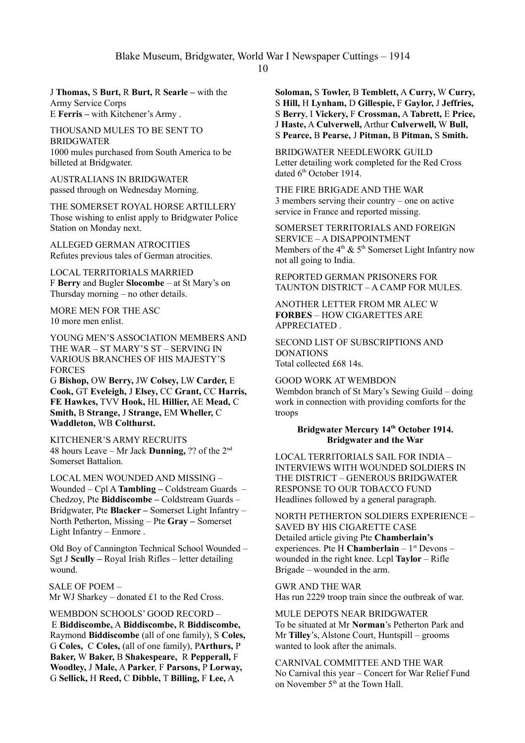Blake Museum, Bridgwater, World War I Newspaper Cuttings – 1914

J **Thomas,** S **Burt,** R **Burt,** R **Searle –** with the Army Service Corps E **Ferris –** with Kitchener's Army .

THOUSAND MULES TO BE SENT TO BRIDGWATER 1000 mules purchased from South America to be billeted at Bridgwater.

AUSTRALIANS IN BRIDGWATER passed through on Wednesday Morning.

THE SOMERSET ROYAL HORSE ARTILLERY Those wishing to enlist apply to Bridgwater Police Station on Monday next.

ALLEGED GERMAN ATROCITIES Refutes previous tales of German atrocities.

LOCAL TERRITORIALS MARRIED F **Berry** and Bugler **Slocombe** – at St Mary's on Thursday morning – no other details.

MORE MEN FOR THE ASC 10 more men enlist.

YOUNG MEN'S ASSOCIATION MEMBERS AND THE WAR – ST MARY'S ST – SERVING IN VARIOUS BRANCHES OF HIS MAJESTY'S FORCES

G **Bishop,** OW **Berry,** JW **Colsey,** LW **Carder,** E **Cook,** GT **Eveleigh,** J **Elsey,** CC **Grant,** CC **Harris, FE Hawkes,** TVV **Hook,** HL **Hillier,** AE **Mead,** C **Smith,** B **Strange,** J **Strange,** EM **Wheller,** C **Waddleton,** WB **Colthurst.**

KITCHENER'S ARMY RECRUITS 48 hours Leave – Mr Jack **Dunning,** ?? of the 2nd Somerset Battalion.

LOCAL MEN WOUNDED AND MISSING – Wounded – Cpl A **Tambling –** Coldstream Guards – Chedzoy, Pte **Biddiscombe –** Coldstream Guards – Bridgwater, Pte **Blacker –** Somerset Light Infantry – North Petherton, Missing – Pte **Gray –** Somerset Light Infantry – Enmore .

Old Boy of Cannington Technical School Wounded – Sgt J **Scully –** Royal Irish Rifles – letter detailing wound.

SALE OF POEM – Mr WJ Sharkey – donated £1 to the Red Cross.

WEMBDON SCHOOLS' GOOD RECORD – E **Biddiscombe,** A **Biddiscombe,** R **Biddiscombe,** Raymond **Biddiscombe** (all of one family), S **Coles,**  G **Coles,** C **Coles,** (all of one family), P**Arthurs,** P **Baker,** W **Baker,** B **Shakespeare,** R **Pepperall,** F **Woodley,** J **Male,** A **Parker**, F **Parsons,** P **Lorway,**  G **Sellick,** H **Reed,** C **Dibble,** T **Billing,** F **Lee,** A

**Soloman,** S **Towler,** B **Temblett,** A **Curry,** W **Curry,** S **Hill,** H **Lynham,** D **Gillespie,** F **Gaylor,** J **Jeffries,** S **Berry**, I **Vickery,** F **Crossman,** A **Tabrett,** E **Price,** J **Haste,** A **Culverwell,** Arthur **Culverwell,** W **Bull,**  S **Pearce,** B **Pearse,** J **Pitman,** B **Pitman,** S **Smith.**

BRIDGWATER NEEDLEWORK GUILD Letter detailing work completed for the Red Cross dated 6<sup>th</sup> October 1914.

THE FIRE BRIGADE AND THE WAR 3 members serving their country – one on active service in France and reported missing.

SOMERSET TERRITORIALS AND FOREIGN SERVICE – A DISAPPOINTMENT Members of the  $4<sup>th</sup>$  &  $5<sup>th</sup>$  Somerset Light Infantry now not all going to India.

REPORTED GERMAN PRISONERS FOR TAUNTON DISTRICT – A CAMP FOR MULES.

ANOTHER LETTER FROM MR ALEC W **FORBES** – HOW CIGARETTES ARE APPRECIATED .

SECOND LIST OF SUBSCRIPTIONS AND DONATIONS Total collected £68 14s.

GOOD WORK AT WEMBDON Wembdon branch of St Mary's Sewing Guild – doing work in connection with providing comforts for the troops

## **Bridgwater Mercury 14th October 1914. Bridgwater and the War**

LOCAL TERRITORIALS SAIL FOR INDIA – INTERVIEWS WITH WOUNDED SOLDIERS IN THE DISTRICT – GENEROUS BRIDGWATER RESPONSE TO OUR TOBACCO FUND Headlines followed by a general paragraph.

NORTH PETHERTON SOLDIERS EXPERIENCE – SAVED BY HIS CIGARETTE CASE Detailed article giving Pte **Chamberlain's**  experiences. Pte H **Chamberlain** – 1<sup>st</sup> Devons – wounded in the right knee. Lcpl **Taylor** – Rifle Brigade – wounded in the arm.

GWR AND THE WAR Has run 2229 troop train since the outbreak of war.

MULE DEPOTS NEAR BRIDGWATER To be situated at Mr **Norman**'s Petherton Park and Mr **Tilley**'s, Alstone Court, Huntspill – grooms wanted to look after the animals.

CARNIVAL COMMITTEE AND THE WAR No Carnival this year – Concert for War Relief Fund on November 5<sup>th</sup> at the Town Hall.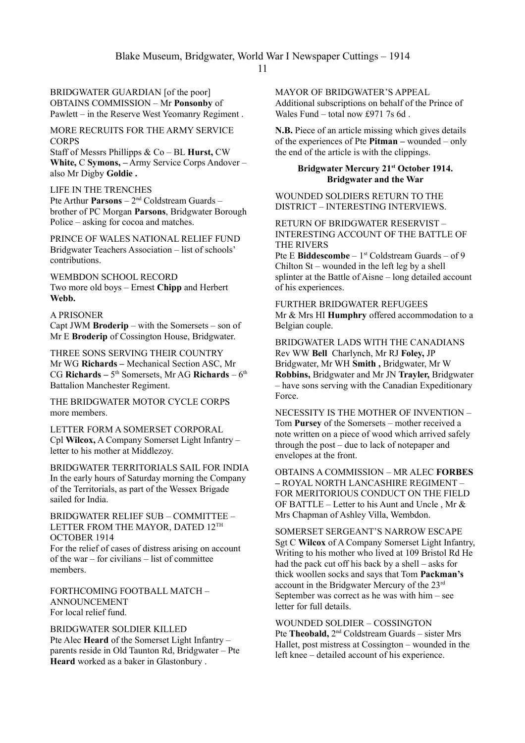BRIDGWATER GUARDIAN [of the poor] OBTAINS COMMISSION – Mr **Ponsonby** of Pawlett – in the Reserve West Yeomanry Regiment .

MORE RECRUITS FOR THE ARMY SERVICE **CORPS** 

Staff of Messrs Phillipps & Co – BL **Hurst,** CW **White,** C **Symons, –** Army Service Corps Andover – also Mr Digby **Goldie .**

## LIFE IN THE TRENCHES

Pte Arthur **Parsons** – 2nd Coldstream Guards – brother of PC Morgan **Parsons**, Bridgwater Borough Police – asking for cocoa and matches.

PRINCE OF WALES NATIONAL RELIEF FUND Bridgwater Teachers Association – list of schools' contributions.

WEMBDON SCHOOL RECORD Two more old boys – Ernest **Chipp** and Herbert **Webb.**

#### A PRISONER

Capt JWM **Broderip** – with the Somersets – son of Mr E **Broderip** of Cossington House, Bridgwater.

THREE SONS SERVING THEIR COUNTRY Mr WG **Richards –** Mechanical Section ASC, Mr CG **Richards** – 5<sup>th</sup> Somersets, Mr AG **Richards** – 6<sup>th</sup> Battalion Manchester Regiment.

THE BRIDGWATER MOTOR CYCLE CORPS more members.

LETTER FORM A SOMERSET CORPORAL Cpl **Wilcox,** A Company Somerset Light Infantry – letter to his mother at Middlezoy.

BRIDGWATER TERRITORIALS SAIL FOR INDIA In the early hours of Saturday morning the Company of the Territorials, as part of the Wessex Brigade sailed for India.

BRIDGWATER RELIEF SUB – COMMITTEE – LETTER FROM THE MAYOR, DATED 12TH OCTOBER 1914

For the relief of cases of distress arising on account of the war – for civilians – list of committee members.

FORTHCOMING FOOTBALL MATCH – ANNOUNCEMENT For local relief fund.

BRIDGWATER SOLDIER KILLED Pte Alec **Heard** of the Somerset Light Infantry – parents reside in Old Taunton Rd, Bridgwater – Pte **Heard** worked as a baker in Glastonbury .

MAYOR OF BRIDGWATER'S APPEAL Additional subscriptions on behalf of the Prince of Wales Fund – total now £971 7s 6d .

**N.B.** Piece of an article missing which gives details of the experiences of Pte **Pitman –** wounded – only the end of the article is with the clippings.

## **Bridgwater Mercury 21st October 1914. Bridgwater and the War**

WOUNDED SOLDIERS RETURN TO THE DISTRICT – INTERESTING INTERVIEWS.

RETURN OF BRIDGWATER RESERVIST – INTERESTING ACCOUNT OF THE BATTLE OF THE RIVERS

Pte E **Biddescombe** – 1st Coldstream Guards – of 9 Chilton St – wounded in the left leg by a shell splinter at the Battle of Aisne – long detailed account of his experiences.

FURTHER BRIDGWATER REFUGEES Mr & Mrs HI **Humphry** offered accommodation to a Belgian couple.

BRIDGWATER LADS WITH THE CANADIANS Rev WW **Bell** Charlynch, Mr RJ **Foley,** JP Bridgwater, Mr WH **Smith ,** Bridgwater, Mr W **Robbins,** Bridgwater and Mr JN **Trayler,** Bridgwater – have sons serving with the Canadian Expeditionary Force.

NECESSITY IS THE MOTHER OF INVENTION – Tom **Pursey** of the Somersets – mother received a note written on a piece of wood which arrived safely through the post – due to lack of notepaper and envelopes at the front.

OBTAINS A COMMISSION – MR ALEC **FORBES –** ROYAL NORTH LANCASHIRE REGIMENT – FOR MERITORIOUS CONDUCT ON THE FIELD OF BATTLE – Letter to his Aunt and Uncle, Mr  $\&$ Mrs Chapman of Ashley Villa, Wembdon.

SOMERSET SERGEANT'S NARROW ESCAPE Sgt C **Wilcox** of A Company Somerset Light Infantry, Writing to his mother who lived at 109 Bristol Rd He had the pack cut off his back by a shell – asks for thick woollen socks and says that Tom **Packman's** account in the Bridgwater Mercury of the 23rd September was correct as he was with him – see letter for full details.

WOUNDED SOLDIER – COSSINGTON

Pte **Theobald,** 2<sup>nd</sup> Coldstream Guards – sister Mrs Hallet, post mistress at Cossington – wounded in the left knee – detailed account of his experience.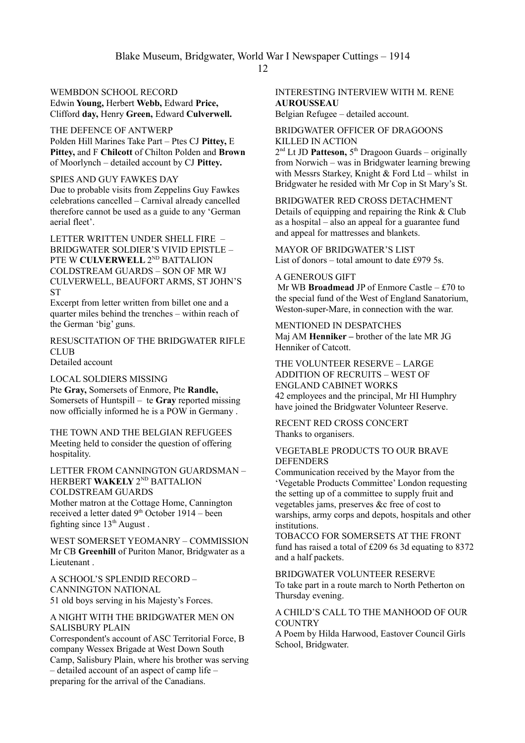# WEMBDON SCHOOL RECORD

Edwin **Young,** Herbert **Webb,** Edward **Price,**  Clifford **day,** Henry **Green,** Edward **Culverwell.**

## THE DEFENCE OF ANTWERP

Polden Hill Marines Take Part – Ptes CJ **Pittey,** E **Pittey,** and F **Chilcott** of Chilton Polden and **Brown** of Moorlynch – detailed account by CJ **Pittey.**

#### SPIES AND GUY FAWKES DAY

Due to probable visits from Zeppelins Guy Fawkes celebrations cancelled – Carnival already cancelled therefore cannot be used as a guide to any 'German aerial fleet'.

LETTER WRITTEN UNDER SHELL FIRE – BRIDGWATER SOLDIER'S VIVID EPISTLE – PTE W **CULVERWELL** 2<sup>ND</sup> BATTALION COLDSTREAM GUARDS – SON OF MR WJ CULVERWELL, BEAUFORT ARMS, ST JOHN'S ST

Excerpt from letter written from billet one and a quarter miles behind the trenches – within reach of the German 'big' guns.

RESUSCITATION OF THE BRIDGWATER RIFLE **CLUB** 

Detailed account

#### LOCAL SOLDIERS MISSING

Pte **Gray,** Somersets of Enmore, Pte **Randle,** Somersets of Huntspill – te **Gray** reported missing now officially informed he is a POW in Germany .

THE TOWN AND THE BELGIAN REFUGEES Meeting held to consider the question of offering hospitality.

LETTER FROM CANNINGTON GUARDSMAN – HERBERT **WAKELY** 2<sup>ND</sup> BATTALION COLDSTREAM GUARDS

Mother matron at the Cottage Home, Cannington received a letter dated 9<sup>th</sup> October 1914 – been fighting since  $13<sup>th</sup>$  August.

WEST SOMERSET YEOMANRY – COMMISSION Mr CB **Greenhill** of Puriton Manor, Bridgwater as a Lieutenant .

A SCHOOL'S SPLENDID RECORD – CANNINGTON NATIONAL 51 old boys serving in his Majesty's Forces.

## A NIGHT WITH THE BRIDGWATER MEN ON SALISBURY PLAIN

Correspondent's account of ASC Territorial Force, B company Wessex Brigade at West Down South Camp, Salisbury Plain, where his brother was serving – detailed account of an aspect of camp life – preparing for the arrival of the Canadians.

INTERESTING INTERVIEW WITH M. RENE **AUROUSSEAU** 

Belgian Refugee – detailed account.

BRIDGWATER OFFICER OF DRAGOONS KILLED IN ACTION

2<sup>nd</sup> Lt JD **Patteson**, 5<sup>th</sup> Dragoon Guards – originally from Norwich – was in Bridgwater learning brewing with Messrs Starkey, Knight & Ford Ltd – whilst in Bridgwater he resided with Mr Cop in St Mary's St.

BRIDGWATER RED CROSS DETACHMENT Details of equipping and repairing the Rink & Club as a hospital – also an appeal for a guarantee fund and appeal for mattresses and blankets.

MAYOR OF BRIDGWATER'S LIST List of donors – total amount to date £979 5s.

## A GENEROUS GIFT

 Mr WB **Broadmead** JP of Enmore Castle – £70 to the special fund of the West of England Sanatorium, Weston-super-Mare, in connection with the war.

MENTIONED IN DESPATCHES Maj AM **Henniker –** brother of the late MR JG Henniker of Catcott.

THE VOLUNTEER RESERVE – LARGE ADDITION OF RECRUITS – WEST OF ENGLAND CABINET WORKS 42 employees and the principal, Mr HI Humphry have joined the Bridgwater Volunteer Reserve.

RECENT RED CROSS CONCERT Thanks to organisers.

#### VEGETABLE PRODUCTS TO OUR BRAVE **DEFENDERS**

Communication received by the Mayor from the 'Vegetable Products Committee' London requesting the setting up of a committee to supply fruit and vegetables jams, preserves &c free of cost to warships, army corps and depots, hospitals and other institutions.

TOBACCO FOR SOMERSETS AT THE FRONT fund has raised a total of £209 6s 3d equating to 8372 and a half packets.

BRIDGWATER VOLUNTEER RESERVE To take part in a route march to North Petherton on Thursday evening.

## A CHILD'S CALL TO THE MANHOOD OF OUR **COUNTRY**

A Poem by Hilda Harwood, Eastover Council Girls School, Bridgwater.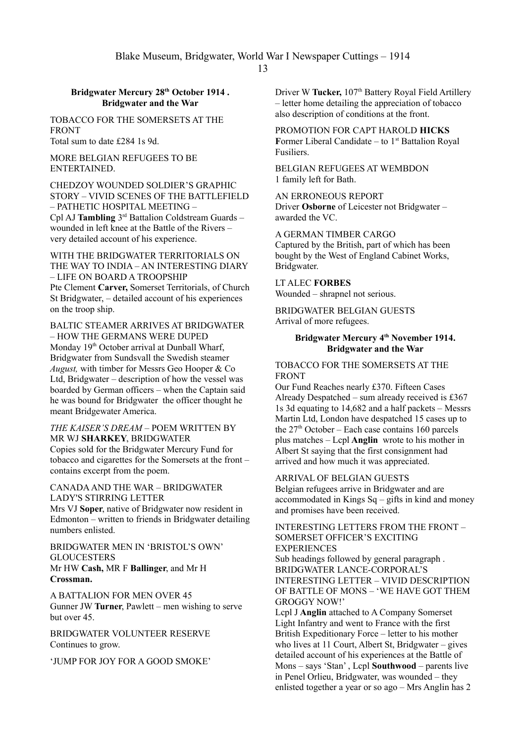## **Bridgwater Mercury 28th October 1914 . Bridgwater and the War**

TOBACCO FOR THE SOMERSETS AT THE FRONT

Total sum to date £284 1s 9d.

MORE BELGIAN REFUGEES TO BE ENTERTAINED.

CHEDZOY WOUNDED SOLDIER'S GRAPHIC STORY – VIVID SCENES OF THE BATTLEFIELD – PATHETIC HOSPITAL MEETING – Cpl AJ Tambling 3<sup>rd</sup> Battalion Coldstream Guards wounded in left knee at the Battle of the Rivers – very detailed account of his experience.

WITH THE BRIDGWATER TERRITORIALS ON THE WAY TO INDIA – AN INTERESTING DIARY – LIFE ON BOARD A TROOPSHIP Pte Clement **Carver,** Somerset Territorials, of Church St Bridgwater, – detailed account of his experiences on the troop ship.

BALTIC STEAMER ARRIVES AT BRIDGWATER – HOW THE GERMANS WERE DUPED Monday 19<sup>th</sup> October arrival at Dunball Wharf Bridgwater from Sundsvall the Swedish steamer *August,* with timber for Messrs Geo Hooper & Co Ltd, Bridgwater – description of how the vessel was boarded by German officers – when the Captain said he was bound for Bridgwater the officer thought he meant Bridgewater America.

## *THE KAISER'S DREAM* – POEM WRITTEN BY MR WJ **SHARKEY**, BRIDGWATER

Copies sold for the Bridgwater Mercury Fund for tobacco and cigarettes for the Somersets at the front – contains excerpt from the poem.

CANADA AND THE WAR – BRIDGWATER LADY'S STIRRING LETTER

Mrs VJ **Soper**, native of Bridgwater now resident in Edmonton – written to friends in Bridgwater detailing numbers enlisted.

#### BRIDGWATER MEN IN 'BRISTOL'S OWN' **GLOUCESTERS**

Mr HW **Cash,** MR F **Ballinger**, and Mr H **Crossman.**

A BATTALION FOR MEN OVER 45 Gunner JW **Turner**, Pawlett – men wishing to serve but over 45.

BRIDGWATER VOLUNTEER RESERVE Continues to grow.

'JUMP FOR JOY FOR A GOOD SMOKE'

Driver W Tucker, 107<sup>th</sup> Battery Royal Field Artillery – letter home detailing the appreciation of tobacco also description of conditions at the front.

PROMOTION FOR CAPT HAROLD **HICKS Former Liberal Candidate – to**  $1<sup>st</sup>$  **Battalion Royal** Fusiliers.

BELGIAN REFUGEES AT WEMBDON 1 family left for Bath.

AN ERRONEOUS REPORT Driver **Osborne** of Leicester not Bridgwater – awarded the VC.

A GERMAN TIMBER CARGO Captured by the British, part of which has been bought by the West of England Cabinet Works, Bridgwater.

LT ALEC **FORBES** Wounded – shrapnel not serious.

BRIDGWATER BELGIAN GUESTS

Arrival of more refugees.

## **Bridgwater Mercury 4th November 1914. Bridgwater and the War**

## TOBACCO FOR THE SOMERSETS AT THE FRONT

Our Fund Reaches nearly £370. Fifteen Cases Already Despatched – sum already received is £367 1s 3d equating to 14,682 and a half packets – Messrs Martin Ltd, London have despatched 15 cases up to the  $27<sup>th</sup>$  October – Each case contains 160 parcels plus matches – Lcpl **Anglin** wrote to his mother in Albert St saying that the first consignment had arrived and how much it was appreciated.

## ARRIVAL OF BELGIAN GUESTS

Belgian refugees arrive in Bridgwater and are accommodated in Kings Sq – gifts in kind and money and promises have been received.

#### INTERESTING LETTERS FROM THE FRONT – SOMERSET OFFICER'S EXCITING EXPERIENCES

Sub headings followed by general paragraph . BRIDGWATER LANCE-CORPORAL'S INTERESTING LETTER – VIVID DESCRIPTION OF BATTLE OF MONS – 'WE HAVE GOT THEM GROGGY NOW!'

Lcpl J **Anglin** attached to A Company Somerset Light Infantry and went to France with the first British Expeditionary Force – letter to his mother who lives at 11 Court, Albert St, Bridgwater – gives detailed account of his experiences at the Battle of Mons – says 'Stan' , Lcpl **Southwood** – parents live in Penel Orlieu, Bridgwater, was wounded – they enlisted together a year or so ago – Mrs Anglin has 2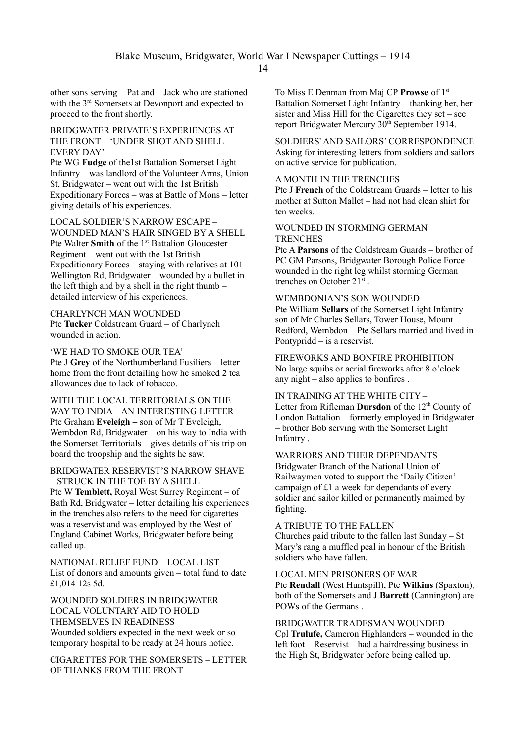other sons serving – Pat and – Jack who are stationed with the 3<sup>rd</sup> Somersets at Devonport and expected to proceed to the front shortly.

#### BRIDGWATER PRIVATE'S EXPERIENCES AT THE FRONT – 'UNDER SHOT AND SHELL EVERY DAY'

Pte WG **Fudge** of the1st Battalion Somerset Light Infantry – was landlord of the Volunteer Arms, Union St, Bridgwater – went out with the 1st British Expeditionary Forces – was at Battle of Mons – letter giving details of his experiences.

LOCAL SOLDIER'S NARROW ESCAPE – WOUNDED MAN'S HAIR SINGED BY A SHELL Pte Walter **Smith** of the 1<sup>st</sup> Battalion Gloucester Regiment – went out with the 1st British Expeditionary Forces – staying with relatives at 101 Wellington Rd, Bridgwater – wounded by a bullet in the left thigh and by a shell in the right thumb – detailed interview of his experiences.

CHARLYNCH MAN WOUNDED Pte **Tucker** Coldstream Guard – of Charlynch wounded in action.

'WE HAD TO SMOKE OUR TEA' Pte J **Grey** of the Northumberland Fusiliers – letter home from the front detailing how he smoked 2 tea allowances due to lack of tobacco.

WITH THE LOCAL TERRITORIALS ON THE WAY TO INDIA – AN INTERESTING LETTER Pte Graham **Eveleigh –** son of Mr T Eveleigh, Wembdon Rd, Bridgwater – on his way to India with the Somerset Territorials – gives details of his trip on board the troopship and the sights he saw.

BRIDGWATER RESERVIST'S NARROW SHAVE – STRUCK IN THE TOE BY A SHELL

Pte W **Temblett,** Royal West Surrey Regiment – of Bath Rd, Bridgwater – letter detailing his experiences in the trenches also refers to the need for cigarettes – was a reservist and was employed by the West of England Cabinet Works, Bridgwater before being called up.

NATIONAL RELIEF FUND – LOCAL LIST List of donors and amounts given – total fund to date £1,014 12s 5d.

WOUNDED SOLDIERS IN BRIDGWATER – LOCAL VOLUNTARY AID TO HOLD THEMSELVES IN READINESS Wounded soldiers expected in the next week or so – temporary hospital to be ready at 24 hours notice.

CIGARETTES FOR THE SOMERSETS – LETTER OF THANKS FROM THE FRONT

To Miss E Denman from Maj CP **Prowse** of 1st Battalion Somerset Light Infantry – thanking her, her sister and Miss Hill for the Cigarettes they set – see report Bridgwater Mercury 30<sup>th</sup> September 1914.

SOLDIERS' AND SAILORS' CORRESPONDENCE Asking for interesting letters from soldiers and sailors on active service for publication.

## A MONTH IN THE TRENCHES

Pte J **French** of the Coldstream Guards – letter to his mother at Sutton Mallet – had not had clean shirt for ten weeks.

## WOUNDED IN STORMING GERMAN **TRENCHES**

Pte A **Parsons** of the Coldstream Guards – brother of PC GM Parsons, Bridgwater Borough Police Force – wounded in the right leg whilst storming German trenches on October 21<sup>st</sup>.

## WEMBDONIAN'S SON WOUNDED Pte William **Sellars** of the Somerset Light Infantry –

son of Mr Charles Sellars, Tower House, Mount Redford, Wembdon – Pte Sellars married and lived in Pontypridd – is a reservist.

FIREWORKS AND BONFIRE PROHIBITION No large squibs or aerial fireworks after 8 o'clock any night – also applies to bonfires .

IN TRAINING AT THE WHITE CITY – Letter from Rifleman **Dursdon** of the 12<sup>th</sup> County of London Battalion – formerly employed in Bridgwater – brother Bob serving with the Somerset Light Infantry .

## WARRIORS AND THEIR DEPENDANTS – Bridgwater Branch of the National Union of Railwaymen voted to support the 'Daily Citizen' campaign of £1 a week for dependants of every soldier and sailor killed or permanently maimed by fighting.

## A TRIBUTE TO THE FALLEN

Churches paid tribute to the fallen last Sunday – St Mary's rang a muffled peal in honour of the British soldiers who have fallen.

#### LOCAL MEN PRISONERS OF WAR

Pte **Rendall** (West Huntspill), Pte **Wilkins** (Spaxton), both of the Somersets and J **Barrett** (Cannington) are POWs of the Germans .

## BRIDGWATER TRADESMAN WOUNDED

Cpl **Trulufe,** Cameron Highlanders – wounded in the left foot – Reservist – had a hairdressing business in the High St, Bridgwater before being called up.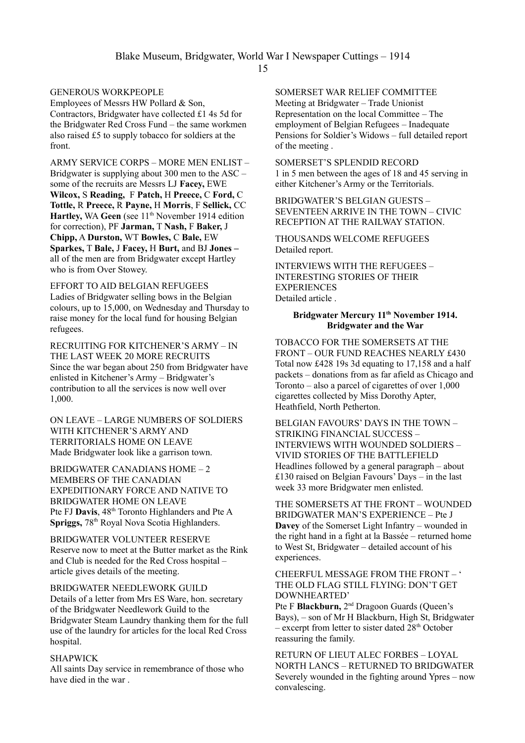## GENEROUS WORKPEOPLE

Employees of Messrs HW Pollard & Son, Contractors, Bridgwater have collected £1 4s 5d for the Bridgwater Red Cross Fund – the same workmen also raised £5 to supply tobacco for soldiers at the front.

ARMY SERVICE CORPS – MORE MEN ENLIST – Bridgwater is supplying about 300 men to the ASC – some of the recruits are Messrs LJ **Facey,** EWE **Wilcox,** S **Reading,** F **Patch,** H **Preece,** C **Ford,** C **Tottle,** R **Preece,** R **Payne,** H **Morris**, F **Sellick,** CC **Hartley, WA Geen** (see 11<sup>th</sup> November 1914 edition for correction), PF **Jarman,** T **Nash,** F **Baker,** J **Chipp,** A **Durston,** WT **Bowles,** C **Bale,** EW **Sparkes,** T **Bale,** J **Facey,** H **Burt,** and BJ **Jones –**  all of the men are from Bridgwater except Hartley who is from Over Stowey.

EFFORT TO AID BELGIAN REFUGEES Ladies of Bridgwater selling bows in the Belgian colours, up to 15,000, on Wednesday and Thursday to raise money for the local fund for housing Belgian refugees.

RECRUITING FOR KITCHENER'S ARMY – IN THE LAST WEEK 20 MORE RECRUITS Since the war began about 250 from Bridgwater have enlisted in Kitchener's Army – Bridgwater's contribution to all the services is now well over 1,000.

ON LEAVE – LARGE NUMBERS OF SOLDIERS WITH KITCHENER'S ARMY AND TERRITORIALS HOME ON LEAVE Made Bridgwater look like a garrison town.

BRIDGWATER CANADIANS HOME – 2 MEMBERS OF THE CANADIAN EXPEDITIONARY FORCE AND NATIVE TO BRIDGWATER HOME ON LEAVE Pte FJ **Davis**,  $48<sup>th</sup>$  Toronto Highlanders and Pte A **Spriggs, 78th Royal Nova Scotia Highlanders.** 

BRIDGWATER VOLUNTEER RESERVE Reserve now to meet at the Butter market as the Rink and Club is needed for the Red Cross hospital – article gives details of the meeting.

BRIDGWATER NEEDLEWORK GUILD Details of a letter from Mrs ES Ware, hon. secretary of the Bridgwater Needlework Guild to the Bridgwater Steam Laundry thanking them for the full use of the laundry for articles for the local Red Cross hospital.

#### SHAPWICK

All saints Day service in remembrance of those who have died in the war .

## SOMERSET WAR RELIEF COMMITTEE

Meeting at Bridgwater – Trade Unionist Representation on the local Committee – The employment of Belgian Refugees – Inadequate Pensions for Soldier's Widows – full detailed report of the meeting .

SOMERSET'S SPLENDID RECORD 1 in 5 men between the ages of 18 and 45 serving in either Kitchener's Army or the Territorials.

BRIDGWATER'S BELGIAN GUESTS – SEVENTEEN ARRIVE IN THE TOWN – CIVIC RECEPTION AT THE RAILWAY STATION.

THOUSANDS WELCOME REFUGEES Detailed report.

INTERVIEWS WITH THE REFUGEES – INTERESTING STORIES OF THEIR **EXPERIENCES** Detailed article .

#### **Bridgwater Mercury 11 th November 1914. Bridgwater and the War**

TOBACCO FOR THE SOMERSETS AT THE FRONT – OUR FUND REACHES NEARLY £430 Total now £428 19s 3d equating to 17,158 and a half packets – donations from as far afield as Chicago and Toronto – also a parcel of cigarettes of over 1,000 cigarettes collected by Miss Dorothy Apter, Heathfield, North Petherton.

BELGIAN FAVOURS' DAYS IN THE TOWN – STRIKING FINANCIAL SUCCESS – INTERVIEWS WITH WOUNDED SOLDIERS – VIVID STORIES OF THE BATTLEFIELD Headlines followed by a general paragraph – about £130 raised on Belgian Favours' Days – in the last week 33 more Bridgwater men enlisted.

THE SOMERSETS AT THE FRONT – WOUNDED BRIDGWATER MAN'S EXPERIENCE – Pte J **Davey** of the Somerset Light Infantry – wounded in the right hand in a fight at la Bassée – returned home to West St, Bridgwater – detailed account of his experiences.

#### CHEERFUL MESSAGE FROM THE FRONT – ' THE OLD FLAG STILL FLYING: DON'T GET DOWNHEARTED'

Pte F **Blackburn,** 2<sup>nd</sup> Dragoon Guards (Queen's Bays), – son of Mr H Blackburn, High St, Bridgwater – excerpt from letter to sister dated  $28<sup>th</sup>$  October reassuring the family.

RETURN OF LIEUT ALEC FORBES – LOYAL NORTH LANCS – RETURNED TO BRIDGWATER Severely wounded in the fighting around Ypres – now convalescing.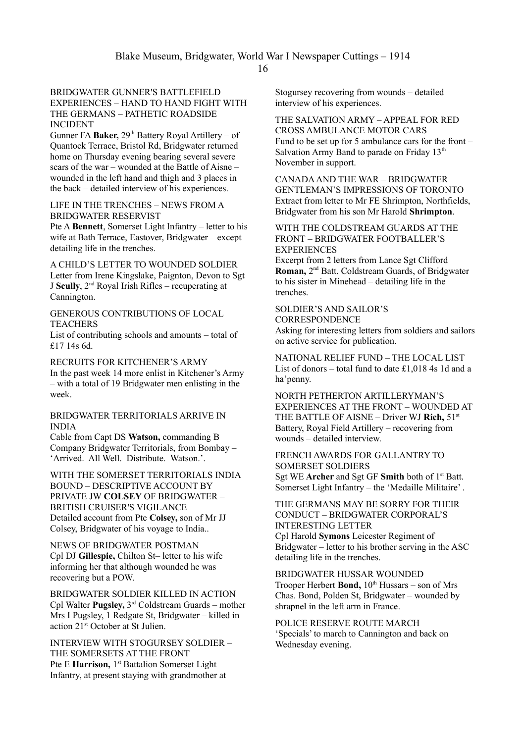#### BRIDGWATER GUNNER'S BATTLEFIELD EXPERIENCES – HAND TO HAND FIGHT WITH THE GERMANS – PATHETIC ROADSIDE INCIDENT

Gunner FA Baker, 29<sup>th</sup> Battery Royal Artillery – of Quantock Terrace, Bristol Rd, Bridgwater returned home on Thursday evening bearing several severe scars of the war – wounded at the Battle of Aisne – wounded in the left hand and thigh and 3 places in the back – detailed interview of his experiences.

#### LIFE IN THE TRENCHES – NEWS FROM A BRIDGWATER RESERVIST

Pte A **Bennett**, Somerset Light Infantry – letter to his wife at Bath Terrace, Eastover, Bridgwater – except detailing life in the trenches.

A CHILD'S LETTER TO WOUNDED SOLDIER Letter from Irene Kingslake, Paignton, Devon to Sgt J **Scully**, 2nd Royal Irish Rifles – recuperating at Cannington.

#### GENEROUS CONTRIBUTIONS OF LOCAL **TEACHERS**

List of contributing schools and amounts – total of £17 14s 6d.

RECRUITS FOR KITCHENER'S ARMY In the past week 14 more enlist in Kitchener's Army – with a total of 19 Bridgwater men enlisting in the week.

#### BRIDGWATER TERRITORIALS ARRIVE IN INDIA

Cable from Capt DS **Watson,** commanding B Company Bridgwater Territorials, from Bombay – 'Arrived. All Well. Distribute. Watson.'.

WITH THE SOMERSET TERRITORIALS INDIA BOUND – DESCRIPTIVE ACCOUNT BY PRIVATE JW **COLSEY** OF BRIDGWATER – BRITISH CRUISER'S VIGILANCE Detailed account from Pte **Colsey,** son of Mr JJ Colsey, Bridgwater of his voyage to India..

NEWS OF BRIDGWATER POSTMAN Cpl DJ **Gillespie,** Chilton St– letter to his wife informing her that although wounded he was recovering but a POW.

BRIDGWATER SOLDIER KILLED IN ACTION Cpl Walter **Pugsley,** 3 rd Coldstream Guards – mother Mrs I Pugsley, 1 Redgate St, Bridgwater – killed in action 21st October at St Julien.

INTERVIEW WITH STOGURSEY SOLDIER – THE SOMERSETS AT THE FRONT Pte E Harrison, 1<sup>st</sup> Battalion Somerset Light Infantry, at present staying with grandmother at

Stogursey recovering from wounds – detailed interview of his experiences.

THE SALVATION ARMY – APPEAL FOR RED CROSS AMBULANCE MOTOR CARS Fund to be set up for 5 ambulance cars for the front – Salvation Army Band to parade on Friday 13<sup>th</sup> November in support.

CANADA AND THE WAR – BRIDGWATER GENTLEMAN'S IMPRESSIONS OF TORONTO Extract from letter to Mr FE Shrimpton, Northfields, Bridgwater from his son Mr Harold **Shrimpton**.

WITH THE COLDSTREAM GUARDS AT THE FRONT – BRIDGWATER FOOTBALLER'S **EXPERIENCES** 

Excerpt from 2 letters from Lance Sgt Clifford Roman, 2<sup>nd</sup> Batt. Coldstream Guards, of Bridgwater to his sister in Minehead – detailing life in the trenches.

#### SOLDIER'S AND SAILOR'S **CORRESPONDENCE**

Asking for interesting letters from soldiers and sailors on active service for publication.

NATIONAL RELIEF FUND – THE LOCAL LIST List of donors – total fund to date £1,018 4s 1d and a ha'penny.

NORTH PETHERTON ARTILLERYMAN'S EXPERIENCES AT THE FRONT – WOUNDED AT THE BATTLE OF AISNE – Driver WJ **Rich,** 51st Battery, Royal Field Artillery – recovering from wounds – detailed interview.

## FRENCH AWARDS FOR GALLANTRY TO SOMERSET SOLDIERS Sgt WE **Archer** and Sgt GF **Smith** both of 1st Batt. Somerset Light Infantry – the 'Medaille Militaire' .

THE GERMANS MAY BE SORRY FOR THEIR CONDUCT – BRIDGWATER CORPORAL'S INTERESTING LETTER Cpl Harold **Symons** Leicester Regiment of Bridgwater – letter to his brother serving in the ASC detailing life in the trenches.

BRIDGWATER HUSSAR WOUNDED Trooper Herbert **Bond**,  $10^{th}$  Hussars – son of Mrs Chas. Bond, Polden St, Bridgwater – wounded by shrapnel in the left arm in France.

POLICE RESERVE ROUTE MARCH 'Specials' to march to Cannington and back on Wednesday evening.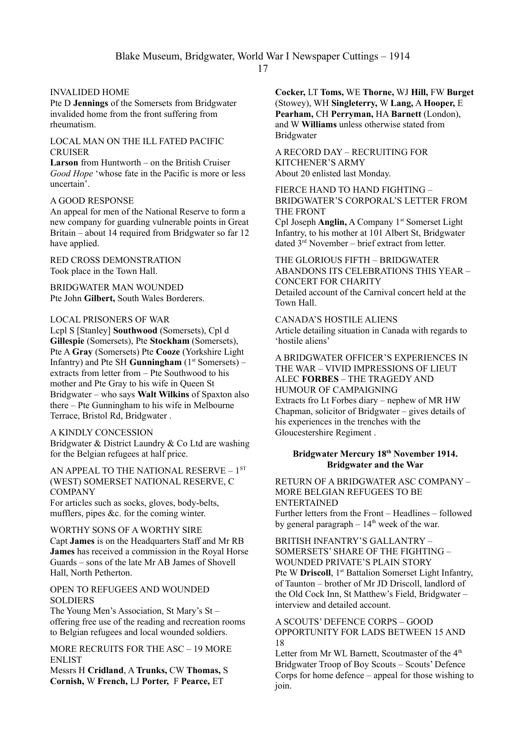## INVALIDED HOME

Pte D **Jennings** of the Somersets from Bridgwater invalided home from the front suffering from rheumatism.

LOCAL MAN ON THE ILL FATED PACIFIC **CRUISER** 

**Larson** from Huntworth – on the British Cruiser *Good Hope* 'whose fate in the Pacific is more or less uncertain'.

## A GOOD RESPONSE

An appeal for men of the National Reserve to form a new company for guarding vulnerable points in Great Britain – about 14 required from Bridgwater so far 12 have applied.

RED CROSS DEMONSTRATION Took place in the Town Hall.

BRIDGWATER MAN WOUNDED Pte John **Gilbert,** South Wales Borderers.

#### LOCAL PRISONERS OF WAR

Lcpl S [Stanley] **Southwood** (Somersets), Cpl d **Gillespie** (Somersets), Pte **Stockham** (Somersets), Pte A **Gray** (Somersets) Pte **Cooze** (Yorkshire Light Infantry) and Pte SH **Gunningham** (1<sup>st</sup> Somersets) – extracts from letter from – Pte Southwood to his mother and Pte Gray to his wife in Queen St Bridgwater – who says **Walt Wilkins** of Spaxton also there – Pte Gunningham to his wife in Melbourne Terrace, Bristol Rd, Bridgwater .

## A KINDLY CONCESSION

Bridgwater & District Laundry & Co Ltd are washing for the Belgian refugees at half price.

AN APPEAL TO THE NATIONAL RESERVE - 1<sup>ST</sup> (WEST) SOMERSET NATIONAL RESERVE, C **COMPANY** 

For articles such as socks, gloves, body-belts, mufflers, pipes &c. for the coming winter.

## WORTHY SONS OF A WORTHY SIRE

Capt **James** is on the Headquarters Staff and Mr RB **James** has received a commission in the Royal Horse Guards – sons of the late Mr AB James of Shovell Hall, North Petherton.

#### OPEN TO REFUGEES AND WOUNDED **SOLDIERS**

The Young Men's Association, St Mary's St – offering free use of the reading and recreation rooms to Belgian refugees and local wounded soldiers.

MORE RECRUITS FOR THE ASC – 19 MORE **ENLIST** 

Messrs H **Cridland**, A **Trunks,** CW **Thomas,** S **Cornish,** W **French,** LJ **Porter,** F **Pearce,** ET

**Cocker,** LT **Toms,** WE **Thorne,** WJ **Hill,** FW **Burget** (Stowey), WH **Singleterry,** W **Lang,** A **Hooper,** E **Pearham,** CH **Perryman,** HA **Barnett** (London), and W **Williams** unless otherwise stated from Bridgwater

A RECORD DAY – RECRUITING FOR KITCHENER'S ARMY About 20 enlisted last Monday.

FIERCE HAND TO HAND FIGHTING – BRIDGWATER'S CORPORAL'S LETTER FROM THE FRONT

Cpl Joseph **Anglin,** A Company 1<sup>st</sup> Somerset Light Infantry, to his mother at 101 Albert St, Bridgwater dated 3rd November – brief extract from letter.

THE GLORIOUS FIFTH – BRIDGWATER ABANDONS ITS CELEBRATIONS THIS YEAR – CONCERT FOR CHARITY Detailed account of the Carnival concert held at the Town Hall.

CANADA'S HOSTILE ALIENS Article detailing situation in Canada with regards to 'hostile aliens'

A BRIDGWATER OFFICER'S EXPERIENCES IN THE WAR – VIVID IMPRESSIONS OF LIEUT ALEC **FORBES** – THE TRAGEDY AND HUMOUR OF CAMPAIGNING Extracts fro Lt Forbes diary – nephew of MR HW Chapman, solicitor of Bridgwater – gives details of his experiences in the trenches with the Gloucestershire Regiment .

## **Bridgwater Mercury 18th November 1914. Bridgwater and the War**

RETURN OF A BRIDGWATER ASC COMPANY – MORE BELGIAN REFUGEES TO BE ENTERTAINED Further letters from the Front – Headlines – followed by general paragraph  $-14<sup>th</sup>$  week of the war.

BRITISH INFANTRY'S GALLANTRY – SOMERSETS' SHARE OF THE FIGHTING – WOUNDED PRIVATE'S PLAIN STORY Pte W **Driscoll**, 1<sup>st</sup> Battalion Somerset Light Infantry, of Taunton – brother of Mr JD Driscoll, landlord of the Old Cock Inn, St Matthew's Field, Bridgwater – interview and detailed account.

A SCOUTS' DEFENCE CORPS – GOOD OPPORTUNITY FOR LADS BETWEEN 15 AND 18

Letter from Mr WL Barnett, Scoutmaster of the 4<sup>th</sup> Bridgwater Troop of Boy Scouts – Scouts' Defence Corps for home defence – appeal for those wishing to join.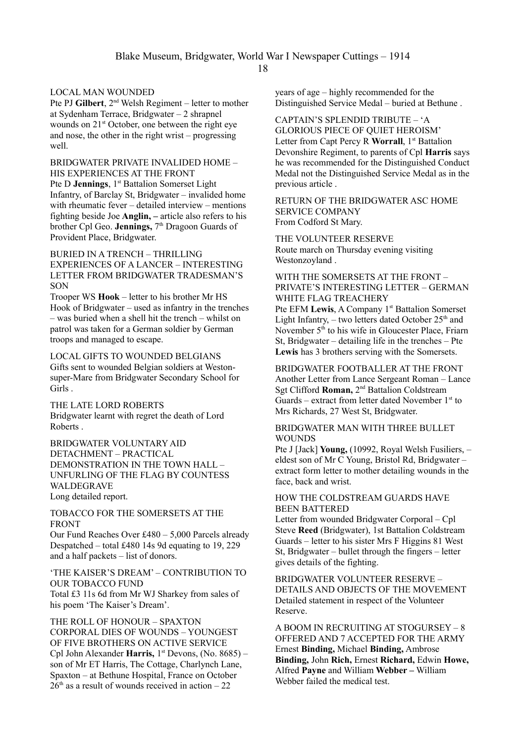18

## LOCAL MAN WOUNDED

Pte PJ Gilbert, 2<sup>nd</sup> Welsh Regiment – letter to mother at Sydenham Terrace, Bridgwater – 2 shrapnel wounds on 21<sup>st</sup> October, one between the right eye and nose, the other in the right wrist – progressing well.

BRIDGWATER PRIVATE INVALIDED HOME – HIS EXPERIENCES AT THE FRONT Pte D **Jennings**, 1<sup>st</sup> Battalion Somerset Light Infantry, of Barclay St, Bridgwater – invalided home with rheumatic fever – detailed interview – mentions fighting beside Joe **Anglin, –** article also refers to his brother Cpl Geo. **Jennings**, 7<sup>th</sup> Dragoon Guards of Provident Place, Bridgwater.

## BURIED IN A TRENCH – THRILLING EXPERIENCES OF A LANCER – INTERESTING LETTER FROM BRIDGWATER TRADESMAN'S **SON**

Trooper WS **Hook** – letter to his brother Mr HS Hook of Bridgwater – used as infantry in the trenches – was buried when a shell hit the trench – whilst on patrol was taken for a German soldier by German troops and managed to escape.

LOCAL GIFTS TO WOUNDED BELGIANS Gifts sent to wounded Belgian soldiers at Westonsuper-Mare from Bridgwater Secondary School for Girls .

THE LATE LORD ROBERTS Bridgwater learnt with regret the death of Lord Roberts .

BRIDGWATER VOLUNTARY AID DETACHMENT – PRACTICAL DEMONSTRATION IN THE TOWN HALL – UNFURLING OF THE FLAG BY COUNTESS WALDEGRAVE Long detailed report.

TOBACCO FOR THE SOMERSETS AT THE FRONT

Our Fund Reaches Over £480 – 5,000 Parcels already Despatched – total £480 14s 9d equating to 19, 229 and a half packets – list of donors.

'THE KAISER'S DREAM' – CONTRIBUTION TO OUR TOBACCO FUND Total £3 11s 6d from Mr WJ Sharkey from sales of his poem 'The Kaiser's Dream'.

THE ROLL OF HONOUR – SPAXTON CORPORAL DIES OF WOUNDS – YOUNGEST OF FIVE BROTHERS ON ACTIVE SERVICE Cpl John Alexander **Harris,** 1<sup>st</sup> Devons, (No. 8685) – son of Mr ET Harris, The Cottage, Charlynch Lane, Spaxton – at Bethune Hospital, France on October  $26<sup>th</sup>$  as a result of wounds received in action – 22

years of age – highly recommended for the Distinguished Service Medal – buried at Bethune .

CAPTAIN'S SPLENDID TRIBUTE – 'A GLORIOUS PIECE OF QUIET HEROISM' Letter from Capt Percy R **Worrall**, 1<sup>st</sup> Battalion Devonshire Regiment, to parents of Cpl **Harris** says he was recommended for the Distinguished Conduct Medal not the Distinguished Service Medal as in the previous article .

RETURN OF THE BRIDGWATER ASC HOME SERVICE COMPANY From Codford St Mary.

THE VOLUNTEER RESERVE Route march on Thursday evening visiting Westonzoyland .

WITH THE SOMERSETS AT THE FRONT – PRIVATE'S INTERESTING LETTER – GERMAN WHITE FLAG TREACHERY Pte EFM Lewis, A Company 1<sup>st</sup> Battalion Somerset Light Infantry,  $-$  two letters dated October 25<sup>th</sup> and November 5<sup>th</sup> to his wife in Gloucester Place, Friarn St, Bridgwater – detailing life in the trenches – Pte **Lewis** has 3 brothers serving with the Somersets.

BRIDGWATER FOOTBALLER AT THE FRONT Another Letter from Lance Sergeant Roman – Lance Sgt Clifford **Roman,** 2nd Battalion Coldstream Guards – extract from letter dated November  $1<sup>st</sup>$  to Mrs Richards, 27 West St, Bridgwater.

#### BRIDGWATER MAN WITH THREE BULLET **WOUNDS**

Pte J [Jack] **Young,** (10992, Royal Welsh Fusiliers, – eldest son of Mr C Young, Bristol Rd, Bridgwater – extract form letter to mother detailing wounds in the face, back and wrist.

## HOW THE COLDSTREAM GUARDS HAVE BEEN BATTERED

Letter from wounded Bridgwater Corporal – Cpl Steve **Reed** (Bridgwater), 1st Battalion Coldstream Guards – letter to his sister Mrs F Higgins 81 West St, Bridgwater – bullet through the fingers – letter gives details of the fighting.

BRIDGWATER VOLUNTEER RESERVE – DETAILS AND OBJECTS OF THE MOVEMENT Detailed statement in respect of the Volunteer Reserve.

A BOOM IN RECRUITING AT STOGURSEY – 8 OFFERED AND 7 ACCEPTED FOR THE ARMY Ernest **Binding,** Michael **Binding,** Ambrose **Binding,** John **Rich,** Ernest **Richard,** Edwin **Howe,**  Alfred **Payne** and William **Webber –** William Webber failed the medical test.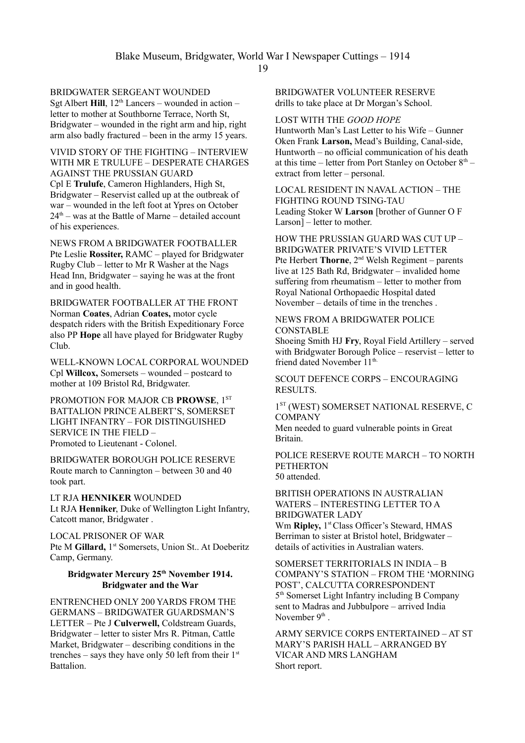19

## BRIDGWATER SERGEANT WOUNDED

Sgt Albert **Hill**,  $12<sup>th</sup>$  Lancers – wounded in action – letter to mother at Southborne Terrace, North St, Bridgwater – wounded in the right arm and hip, right arm also badly fractured – been in the army 15 years.

VIVID STORY OF THE FIGHTING – INTERVIEW WITH MR E TRULUFE – DESPERATE CHARGES AGAINST THE PRUSSIAN GUARD Cpl E **Trulufe**, Cameron Highlanders, High St, Bridgwater – Reservist called up at the outbreak of war – wounded in the left foot at Ypres on October  $24<sup>th</sup>$  – was at the Battle of Marne – detailed account of his experiences.

NEWS FROM A BRIDGWATER FOOTBALLER Pte Leslie **Rossiter,** RAMC – played for Bridgwater Rugby Club – letter to Mr R Washer at the Nags Head Inn, Bridgwater – saying he was at the front and in good health.

BRIDGWATER FOOTBALLER AT THE FRONT Norman **Coates**, Adrian **Coates,** motor cycle despatch riders with the British Expeditionary Force also PP **Hope** all have played for Bridgwater Rugby Club.

WELL-KNOWN LOCAL CORPORAL WOUNDED Cpl **Willcox,** Somersets – wounded – postcard to mother at 109 Bristol Rd, Bridgwater.

PROMOTION FOR MAJOR CB **PROWSE**, 1<sup>ST</sup> BATTALION PRINCE ALBERT'S, SOMERSET LIGHT INFANTRY – FOR DISTINGUISHED SERVICE IN THE FIELD – Promoted to Lieutenant - Colonel.

BRIDGWATER BOROUGH POLICE RESERVE Route march to Cannington – between 30 and 40 took part.

LT RJA **HENNIKER** WOUNDED Lt RJA **Henniker**, Duke of Wellington Light Infantry, Catcott manor, Bridgwater .

LOCAL PRISONER OF WAR Pte M Gillard, 1<sup>st</sup> Somersets, Union St.. At Doeberitz Camp, Germany.

#### **Bridgwater Mercury 25th November 1914. Bridgwater and the War**

ENTRENCHED ONLY 200 YARDS FROM THE GERMANS – BRIDGWATER GUARDSMAN'S LETTER – Pte J **Culverwell,** Coldstream Guards, Bridgwater – letter to sister Mrs R. Pitman, Cattle Market, Bridgwater – describing conditions in the trenches – says they have only 50 left from their  $1<sup>st</sup>$ Battalion.

BRIDGWATER VOLUNTEER RESERVE drills to take place at Dr Morgan's School.

## LOST WITH THE *GOOD HOPE*

Huntworth Man's Last Letter to his Wife – Gunner Oken Frank **Larson,** Mead's Building, Canal-side, Huntworth – no official communication of his death at this time – letter from Port Stanley on October  $8<sup>th</sup>$  – extract from letter – personal.

LOCAL RESIDENT IN NAVAL ACTION – THE FIGHTING ROUND TSING-TAU Leading Stoker W **Larson** [brother of Gunner O F Larson] – letter to mother.

HOW THE PRUSSIAN GUARD WAS CUT UP – BRIDGWATER PRIVATE'S VIVID LETTER Pte Herbert **Thorne**, 2nd Welsh Regiment – parents live at 125 Bath Rd, Bridgwater – invalided home suffering from rheumatism – letter to mother from Royal National Orthopaedic Hospital dated November – details of time in the trenches .

## NEWS FROM A BRIDGWATER POLICE **CONSTABLE**

Shoeing Smith HJ **Fry**, Royal Field Artillery – served with Bridgwater Borough Police – reservist – letter to friend dated November 11<sup>th.</sup>

SCOUT DEFENCE CORPS – ENCOURAGING RESULTS.

1 ST (WEST) SOMERSET NATIONAL RESERVE, C **COMPANY** 

Men needed to guard vulnerable points in Great Britain.

#### POLICE RESERVE ROUTE MARCH – TO NORTH **PETHERTON** 50 attended.

BRITISH OPERATIONS IN AUSTRALIAN WATERS – INTERESTING LETTER TO A BRIDGWATER LADY Wm Ripley, 1<sup>st</sup>Class Officer's Steward, HMAS Berriman to sister at Bristol hotel, Bridgwater –

details of activities in Australian waters.

SOMERSET TERRITORIALS IN INDIA – B COMPANY'S STATION – FROM THE 'MORNING POST', CALCUTTA CORRESPONDENT 5 th Somerset Light Infantry including B Company sent to Madras and Jubbulpore – arrived India November  $9<sup>th</sup>$ .

ARMY SERVICE CORPS ENTERTAINED – AT ST MARY'S PARISH HALL – ARRANGED BY VICAR AND MRS LANGHAM Short report.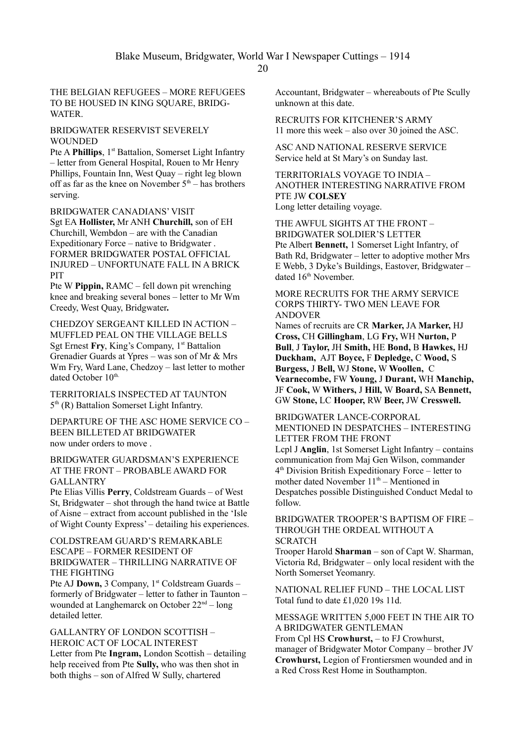THE BELGIAN REFUGEES – MORE REFUGEES TO BE HOUSED IN KING SQUARE, BRIDG-**WATER** 

#### BRIDGWATER RESERVIST SEVERELY WOUNDED

Pte A **Phillips**, 1<sup>st</sup> Battalion, Somerset Light Infantry – letter from General Hospital, Rouen to Mr Henry Phillips, Fountain Inn, West Quay – right leg blown off as far as the knee on November  $5<sup>th</sup>$  – has brothers serving.

BRIDGWATER CANADIANS' VISIT

Sgt EA **Hollister,** Mr ANH **Churchill,** son of EH Churchill, Wembdon – are with the Canadian Expeditionary Force – native to Bridgwater . FORMER BRIDGWATER POSTAL OFFICIAL INJURED – UNFORTUNATE FALL IN A BRICK **PIT** 

Pte W **Pippin,** RAMC – fell down pit wrenching knee and breaking several bones – letter to Mr Wm Creedy, West Quay, Bridgwater**.**

CHEDZOY SERGEANT KILLED IN ACTION – MUFFLED PEAL ON THE VILLAGE BELLS Sgt Ernest Fry, King's Company, 1<sup>st</sup> Battalion Grenadier Guards at Ypres – was son of Mr & Mrs Wm Fry, Ward Lane, Chedzoy – last letter to mother dated October 10th.

TERRITORIALS INSPECTED AT TAUNTON 5<sup>th</sup> (R) Battalion Somerset Light Infantry.

DEPARTURE OF THE ASC HOME SERVICE CO – BEEN BILLETED AT BRIDGWATER now under orders to move .

BRIDGWATER GUARDSMAN'S EXPERIENCE AT THE FRONT – PROBABLE AWARD FOR **GALLANTRY** 

Pte Elias Villis **Perry**, Coldstream Guards – of West St, Bridgwater – shot through the hand twice at Battle of Aisne – extract from account published in the 'Isle of Wight County Express' – detailing his experiences.

COLDSTREAM GUARD'S REMARKABLE ESCAPE – FORMER RESIDENT OF BRIDGWATER – THRILLING NARRATIVE OF THE FIGHTING

Pte AJ **Down,** 3 Company, 1<sup>st</sup> Coldstream Guards – formerly of Bridgwater – letter to father in Taunton – wounded at Langhemarck on October  $22<sup>nd</sup> – long$ detailed letter.

## GALLANTRY OF LONDON SCOTTISH – HEROIC ACT OF LOCAL INTEREST

Letter from Pte **Ingram,** London Scottish – detailing help received from Pte **Sully,** who was then shot in both thighs – son of Alfred W Sully, chartered

Accountant, Bridgwater – whereabouts of Pte Scully unknown at this date.

RECRUITS FOR KITCHENER'S ARMY 11 more this week – also over 30 joined the ASC.

ASC AND NATIONAL RESERVE SERVICE Service held at St Mary's on Sunday last.

TERRITORIALS VOYAGE TO INDIA – ANOTHER INTERESTING NARRATIVE FROM PTE JW **COLSEY**  Long letter detailing voyage.

THE AWFUL SIGHTS AT THE FRONT – BRIDGWATER SOLDIER'S LETTER Pte Albert **Bennett,** 1 Somerset Light Infantry, of Bath Rd, Bridgwater – letter to adoptive mother Mrs E Webb, 3 Dyke's Buildings, Eastover, Bridgwater – dated 16<sup>th</sup> November.

MORE RECRUITS FOR THE ARMY SERVICE CORPS THIRTY- TWO MEN LEAVE FOR ANDOVER

Names of recruits are CR **Marker,** JA **Marker,** HJ **Cross,** CH **Gillingham**, LG **Fry,** WH **Nurton,** P **Bull**, J **Taylor,** JH **Smith,** HE **Bond,** B **Hawkes,** HJ **Duckham,** AJT **Boyce,** F **Depledge,** C **Wood,** S **Burgess,** J **Bell,** WJ **Stone,** W **Woollen,** C **Vearnecombe,** FW **Young,** J **Durant,** WH **Manchip,** JF **Cook,** W **Withers,** J **Hill,** W **Board,** SA **Bennett,**  GW **Stone,** LC **Hooper,** RW **Beer,** JW **Cresswell.**

#### BRIDGWATER LANCE-CORPORAL MENTIONED IN DESPATCHES – INTERESTING LETTER FROM THE FRONT

Lcpl J **Anglin**, 1st Somerset Light Infantry – contains communication from Maj Gen Wilson, commander 4 th Division British Expeditionary Force – letter to mother dated November  $11<sup>th</sup>$  – Mentioned in Despatches possible Distinguished Conduct Medal to follow.

BRIDGWATER TROOPER'S BAPTISM OF FIRE – THROUGH THE ORDEAL WITHOUT A **SCRATCH** 

Trooper Harold **Sharman** – son of Capt W. Sharman, Victoria Rd, Bridgwater – only local resident with the North Somerset Yeomanry.

NATIONAL RELIEF FUND – THE LOCAL LIST Total fund to date £1,020 19s 11d.

#### MESSAGE WRITTEN 5,000 FEET IN THE AIR TO A BRIDGWATER GENTLEMAN

From Cpl HS **Crowhurst,** – to FJ Crowhurst, manager of Bridgwater Motor Company – brother JV **Crowhurst,** Legion of Frontiersmen wounded and in a Red Cross Rest Home in Southampton.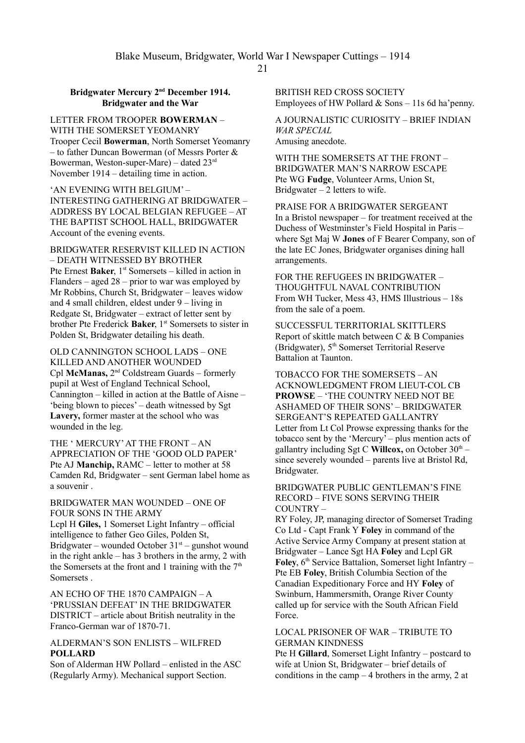## **Bridgwater Mercury 2nd December 1914. Bridgwater and the War**

LETTER FROM TROOPER **BOWERMAN** – WITH THE SOMERSET YEOMANRY Trooper Cecil **Bowerman**, North Somerset Yeomanry – to father Duncan Bowerman (of Messrs Porter & Bowerman, Weston-super-Mare) – dated 23rd November 1914 – detailing time in action.

'AN EVENING WITH BELGIUM' – INTERESTING GATHERING AT BRIDGWATER – ADDRESS BY LOCAL BELGIAN REFUGEE – AT THE BAPTIST SCHOOL HALL, BRIDGWATER Account of the evening events.

BRIDGWATER RESERVIST KILLED IN ACTION – DEATH WITNESSED BY BROTHER Pte Ernest Baker, 1<sup>st</sup> Somersets – killed in action in Flanders – aged 28 – prior to war was employed by Mr Robbins, Church St, Bridgwater – leaves widow and 4 small children, eldest under 9 – living in Redgate St, Bridgwater – extract of letter sent by brother Pte Frederick **Baker**, 1<sup>st</sup> Somersets to sister in Polden St, Bridgwater detailing his death.

OLD CANNINGTON SCHOOL LADS – ONE KILLED AND ANOTHER WOUNDED Cpl **McManas,** 2<sup>nd</sup> Coldstream Guards – formerly pupil at West of England Technical School, Cannington – killed in action at the Battle of Aisne – 'being blown to pieces' – death witnessed by Sgt **Lavery,** former master at the school who was wounded in the leg.

THE ' MERCURY' AT THE FRONT – AN APPRECIATION OF THE 'GOOD OLD PAPER' Pte AJ **Manchip,** RAMC – letter to mother at 58 Camden Rd, Bridgwater – sent German label home as a souvenir .

BRIDGWATER MAN WOUNDED – ONE OF FOUR SONS IN THE ARMY Lcpl H **Giles,** 1 Somerset Light Infantry – official intelligence to father Geo Giles, Polden St, Bridgwater – wounded October  $31<sup>st</sup>$  – gunshot wound

in the right ankle – has 3 brothers in the army, 2 with the Somersets at the front and 1 training with the  $7<sup>th</sup>$ Somersets .

AN ECHO OF THE 1870 CAMPAIGN – A 'PRUSSIAN DEFEAT' IN THE BRIDGWATER DISTRICT – article about British neutrality in the Franco-German war of 1870-71.

## ALDERMAN'S SON ENLISTS – WILFRED **POLLARD**

Son of Alderman HW Pollard – enlisted in the ASC (Regularly Army). Mechanical support Section.

BRITISH RED CROSS SOCIETY Employees of HW Pollard  $&$  Sons – 11s 6d ha'penny.

A JOURNALISTIC CURIOSITY – BRIEF INDIAN *WAR SPECIAL* Amusing anecdote.

WITH THE SOMERSETS AT THE FRONT – BRIDGWATER MAN'S NARROW ESCAPE Pte WG **Fudge**, Volunteer Arms, Union St, Bridgwater  $-2$  letters to wife.

PRAISE FOR A BRIDGWATER SERGEANT In a Bristol newspaper – for treatment received at the Duchess of Westminster's Field Hospital in Paris – where Sgt Maj W **Jones** of F Bearer Company, son of the late EC Jones, Bridgwater organises dining hall arrangements.

FOR THE REFUGEES IN BRIDGWATER – THOUGHTFUL NAVAL CONTRIBUTION From WH Tucker, Mess 43, HMS Illustrious – 18s from the sale of a poem.

SUCCESSFUL TERRITORIAL SKITTLERS Report of skittle match between C & B Companies (Bridgwater),  $5<sup>th</sup>$  Somerset Territorial Reserve Battalion at Taunton.

TOBACCO FOR THE SOMERSETS – AN ACKNOWLEDGMENT FROM LIEUT-COL CB **PROWSE** – 'THE COUNTRY NEED NOT BE ASHAMED OF THEIR SONS' – BRIDGWATER SERGEANT'S REPEATED GALLANTRY Letter from Lt Col Prowse expressing thanks for the tobacco sent by the 'Mercury' – plus mention acts of gallantry including Sgt C Willcox, on October  $30<sup>th</sup>$  – since severely wounded – parents live at Bristol Rd, Bridgwater.

BRIDGWATER PUBLIC GENTLEMAN'S FINE RECORD – FIVE SONS SERVING THEIR COUNTRY –

RY Foley, JP, managing director of Somerset Trading Co Ltd - Capt Frank Y **Foley** in command of the Active Service Army Company at present station at Bridgwater – Lance Sgt HA **Foley** and Lcpl GR **Foley**, 6<sup>th</sup> Service Battalion, Somerset light Infantry – Pte EB **Foley**, British Columbia Section of the Canadian Expeditionary Force and HY **Foley** of Swinburn, Hammersmith, Orange River County called up for service with the South African Field Force.

## LOCAL PRISONER OF WAR – TRIBUTE TO GERMAN KINDNESS

Pte H **Gillard**, Somerset Light Infantry – postcard to wife at Union St, Bridgwater – brief details of conditions in the camp  $-4$  brothers in the army, 2 at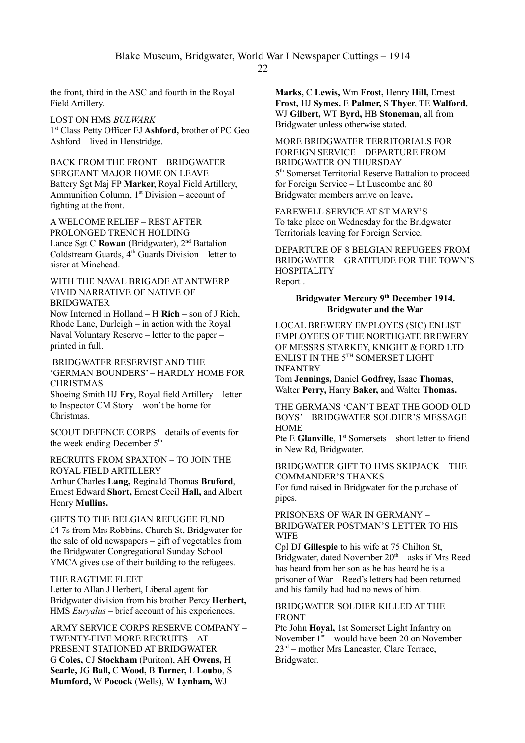Blake Museum, Bridgwater, World War I Newspaper Cuttings – 1914

the front, third in the ASC and fourth in the Royal Field Artillery.

LOST ON HMS *BULWARK* 1 st Class Petty Officer EJ **Ashford,** brother of PC Geo Ashford – lived in Henstridge.

BACK FROM THE FRONT – BRIDGWATER SERGEANT MAJOR HOME ON LEAVE Battery Sgt Maj FP **Marker**, Royal Field Artillery, Ammunition Column,  $1<sup>st</sup> Division – account of$ fighting at the front.

A WELCOME RELIEF – REST AFTER PROLONGED TRENCH HOLDING Lance Sgt C Rowan (Bridgwater), 2<sup>nd</sup> Battalion Coldstream Guards,  $4<sup>th</sup>$  Guards Division – letter to sister at Minehead.

WITH THE NAVAL BRIGADE AT ANTWERP – VIVID NARRATIVE OF NATIVE OF BRIDGWATER

Now Interned in Holland – H **Rich** – son of J Rich, Rhode Lane, Durleigh – in action with the Royal Naval Voluntary Reserve – letter to the paper – printed in full.

 BRIDGWATER RESERVIST AND THE 'GERMAN BOUNDERS' – HARDLY HOME FOR CHRISTMAS

Shoeing Smith HJ **Fry**, Royal field Artillery – letter to Inspector CM Story – won't be home for Christmas.

SCOUT DEFENCE CORPS – details of events for the week ending December 5<sup>th.</sup>

RECRUITS FROM SPAXTON – TO JOIN THE ROYAL FIELD ARTILLERY Arthur Charles **Lang,** Reginald Thomas **Bruford**,

Ernest Edward **Short,** Ernest Cecil **Hall,** and Albert Henry **Mullins.**

GIFTS TO THE BELGIAN REFUGEE FUND £4 7s from Mrs Robbins, Church St, Bridgwater for the sale of old newspapers – gift of vegetables from the Bridgwater Congregational Sunday School – YMCA gives use of their building to the refugees.

## THE RAGTIME FLEET –

Letter to Allan J Herbert, Liberal agent for Bridgwater division from his brother Percy **Herbert,** HMS *Euryalus* – brief account of his experiences.

ARMY SERVICE CORPS RESERVE COMPANY – TWENTY-FIVE MORE RECRUITS – AT PRESENT STATIONED AT BRIDGWATER G **Coles,** CJ **Stockham** (Puriton), AH **Owens,** H **Searle,** JG **Ball,** C **Wood,** B **Turner,** L **Loubo**, S **Mumford,** W **Pocock** (Wells), W **Lynham,** WJ

**Marks,** C **Lewis,** Wm **Frost,** Henry **Hill,** Ernest **Frost,** HJ **Symes,** E **Palmer,** S **Thyer**, TE **Walford,**  WJ **Gilbert,** WT **Byrd,** HB **Stoneman,** all from Bridgwater unless otherwise stated.

MORE BRIDGWATER TERRITORIALS FOR FOREIGN SERVICE – DEPARTURE FROM BRIDGWATER ON THURSDAY 5 th Somerset Territorial Reserve Battalion to proceed for Foreign Service – Lt Luscombe and 80 Bridgwater members arrive on leave**.**

FAREWELL SERVICE AT ST MARY'S To take place on Wednesday for the Bridgwater Territorials leaving for Foreign Service.

DEPARTURE OF 8 BELGIAN REFUGEES FROM BRIDGWATER – GRATITUDE FOR THE TOWN'S **HOSPITALITY** Report .

## **Bridgwater Mercury 9th December 1914. Bridgwater and the War**

LOCAL BREWERY EMPLOYES (SIC) ENLIST – EMPLOYEES OF THE NORTHGATE BREWERY OF MESSRS STARKEY, KNIGHT & FORD LTD ENLIST IN THE 5TH SOMERSET LIGHT INFANTRY

Tom **Jennings,** Daniel **Godfrey,** Isaac **Thomas**, Walter **Perry,** Harry **Baker,** and Walter **Thomas.**

THE GERMANS 'CAN'T BEAT THE GOOD OLD BOYS' – BRIDGWATER SOLDIER'S MESSAGE **HOME** 

Pte E Glanville, 1<sup>st</sup> Somersets – short letter to friend in New Rd, Bridgwater.

BRIDGWATER GIFT TO HMS SKIPJACK – THE COMMANDER'S THANKS

For fund raised in Bridgwater for the purchase of pipes.

PRISONERS OF WAR IN GERMANY – BRIDGWATER POSTMAN'S LETTER TO HIS **WIFE** 

Cpl DJ **Gillespie** to his wife at 75 Chilton St, Bridgwater, dated November  $20<sup>th</sup> - \text{asks if } Mrs \text{ Reed}$ has heard from her son as he has heard he is a prisoner of War – Reed's letters had been returned and his family had had no news of him.

## BRIDGWATER SOLDIER KILLED AT THE FRONT

Pte John **Hoyal,** 1st Somerset Light Infantry on November  $1<sup>st</sup>$  – would have been 20 on November  $23<sup>rd</sup>$  – mother Mrs Lancaster, Clare Terrace, Bridgwater.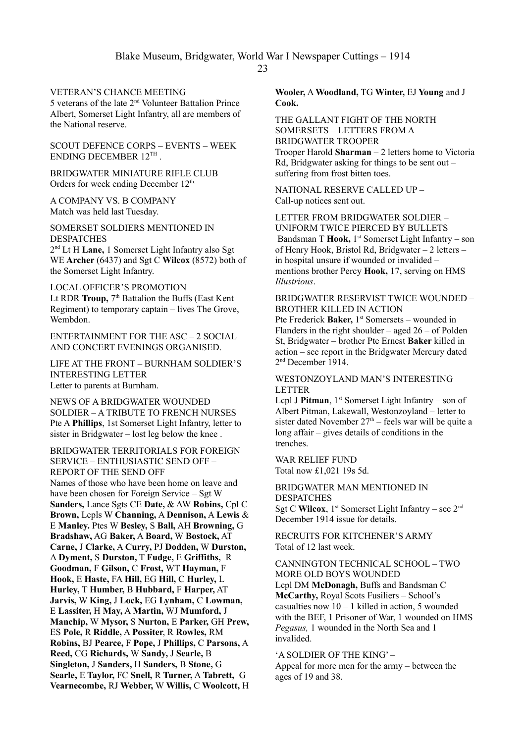## VETERAN'S CHANCE MEETING

5 veterans of the late 2nd Volunteer Battalion Prince Albert, Somerset Light Infantry, all are members of the National reserve.

SCOUT DEFENCE CORPS – EVENTS – WEEK ENDING DECEMBER 12<sup>TH</sup>.

BRIDGWATER MINIATURE RIFLE CLUB Orders for week ending December 12<sup>th.</sup>

A COMPANY VS. B COMPANY Match was held last Tuesday.

SOMERSET SOLDIERS MENTIONED IN **DESPATCHES** 

2 nd Lt H **Lane,** 1 Somerset Light Infantry also Sgt WE **Archer** (6437) and Sgt C **Wilcox** (8572) both of the Somerset Light Infantry.

LOCAL OFFICER'S PROMOTION Lt RDR **Troup**, 7<sup>th</sup> Battalion the Buffs (East Kent Regiment) to temporary captain – lives The Grove, Wembdon.

ENTERTAINMENT FOR THE ASC – 2 SOCIAL AND CONCERT EVENINGS ORGANISED.

LIFE AT THE FRONT – BURNHAM SOLDIER'S INTERESTING LETTER Letter to parents at Burnham.

NEWS OF A BRIDGWATER WOUNDED SOLDIER – A TRIBUTE TO FRENCH NURSES Pte A **Phillips**, 1st Somerset Light Infantry, letter to sister in Bridgwater – lost leg below the knee .

#### BRIDGWATER TERRITORIALS FOR FOREIGN SERVICE – ENTHUSIASTIC SEND OFF – REPORT OF THE SEND OFF

Names of those who have been home on leave and have been chosen for Foreign Service – Sgt W **Sanders,** Lance Sgts CE **Date,** & AW **Robins,** Cpl C **Brown,** Lcpls W **Channing,** A **Dennison,** A **Lewis** & E **Manley.** Ptes W **Besley,** S **Ball,** AH **Browning,** G **Bradshaw,** AG **Baker,** A **Board,** W **Bostock,** AT **Carne,** J **Clarke,** A **Curry,** PJ **Dodden,** W **Durston,**  A **Dyment,** S **Durston,** T **Fudge,** E **Griffiths,** R **Goodman,** F **Gilson,** C **Frost,** WT **Hayman,** F **Hook,** E **Haste,** FA **Hill,** EG **Hill,** C **Hurley,** L **Hurley,** T **Humber,** B **Hubbard,** F **Harper,** AT **Jarvis,** W **King,** J **Lock,** EG **Lynham,** C **Lowman,**  E **Lassiter,** H **May,** A **Martin,** WJ **Mumford,** J **Manchip,** W **Mysor,** S **Nurton,** E **Parker,** GH **Prew,** ES **Pole,** R **Riddle,** A **Possiter**, R **Rowles,** RM **Robins,** BJ **Pearce,** F **Pope,** J **Phillips,** C **Parsons,** A **Reed,** CG **Richards,** W **Sandy,** J **Searle,** B **Singleton,** J **Sanders,** H **Sanders,** B **Stone,** G **Searle,** E **Taylor,** FC **Snell,** R **Turner,** A **Tabrett,** G **Vearnecombe,** RJ **Webber,** W **Willis,** C **Woolcott,** H **Wooler,** A **Woodland,** TG **Winter,** EJ **Young** and J **Cook.**

THE GALLANT FIGHT OF THE NORTH SOMERSETS – LETTERS FROM A BRIDGWATER TROOPER Trooper Harold **Sharman** – 2 letters home to Victoria Rd, Bridgwater asking for things to be sent out – suffering from frost bitten toes.

NATIONAL RESERVE CALLED UP – Call-up notices sent out.

LETTER FROM BRIDGWATER SOLDIER – UNIFORM TWICE PIERCED BY BULLETS Bandsman T Hook, 1<sup>st</sup> Somerset Light Infantry – son of Henry Hook, Bristol Rd, Bridgwater – 2 letters – in hospital unsure if wounded or invalided – mentions brother Percy **Hook,** 17, serving on HMS *Illustrious*.

## BRIDGWATER RESERVIST TWICE WOUNDED – BROTHER KILLED IN ACTION

Pte Frederick Baker, 1<sup>st</sup> Somersets – wounded in Flanders in the right shoulder – aged  $26 -$  of Polden St, Bridgwater – brother Pte Ernest **Baker** killed in action – see report in the Bridgwater Mercury dated 2 nd December 1914.

#### WESTONZOYLAND MAN'S INTERESTING LETTER

Lcpl J **Pitman**,  $1^{st}$  Somerset Light Infantry – son of Albert Pitman, Lakewall, Westonzoyland – letter to sister dated November  $27<sup>th</sup>$  – feels war will be quite a long affair – gives details of conditions in the trenches.

WAR RELIEF FUND Total now £1,021 19s 5d.

BRIDGWATER MAN MENTIONED IN DESPATCHES Sgt C Wilcox, 1<sup>st</sup> Somerset Light Infantry – see 2<sup>nd</sup> December 1914 issue for details.

RECRUITS FOR KITCHENER'S ARMY Total of 12 last week.

#### CANNINGTON TECHNICAL SCHOOL – TWO MORE OLD BOYS WOUNDED Lcpl DM **McDonagh,** Buffs and Bandsman C **McCarthy,** Royal Scots Fusiliers – School's casualties now  $10 - 1$  killed in action, 5 wounded with the BEF, 1 Prisoner of War, 1 wounded on HMS *Pegasus,* 1 wounded in the North Sea and 1 invalided.

'A SOLDIER OF THE KING' – Appeal for more men for the army – between the ages of 19 and 38.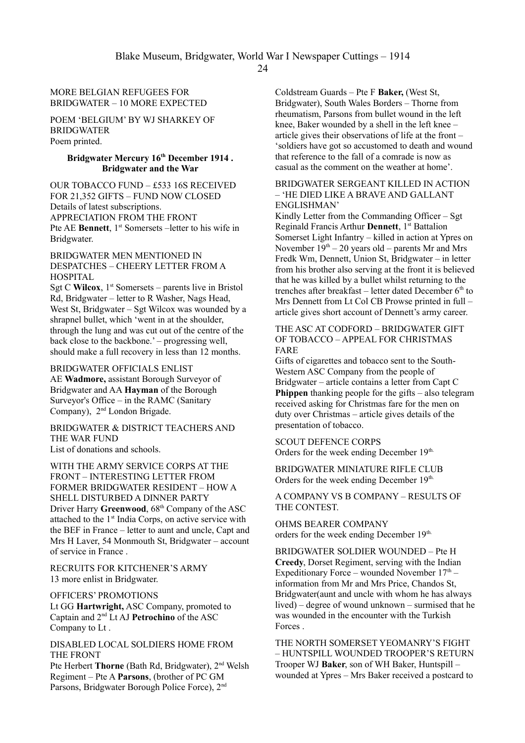## MORE BELGIAN REFUGEES FOR BRIDGWATER – 10 MORE EXPECTED

POEM 'BELGIUM' BY WJ SHARKEY OF BRIDGWATER Poem printed.

## **Bridgwater Mercury 16th December 1914 . Bridgwater and the War**

OUR TOBACCO FUND – £533 16S RECEIVED FOR 21,352 GIFTS – FUND NOW CLOSED Details of latest subscriptions. APPRECIATION FROM THE FRONT Pte AE **Bennett**, 1<sup>st</sup> Somersets –letter to his wife in Bridgwater.

BRIDGWATER MEN MENTIONED IN DESPATCHES – CHEERY LETTER FROM A HOSPITAL

Sgt C **Wilcox**,  $1<sup>st</sup>$  Somersets – parents live in Bristol Rd, Bridgwater – letter to R Washer, Nags Head, West St, Bridgwater – Sgt Wilcox was wounded by a shrapnel bullet, which 'went in at the shoulder, through the lung and was cut out of the centre of the back close to the backbone.' – progressing well, should make a full recovery in less than 12 months.

BRIDGWATER OFFICIALS ENLIST AE **Wadmore,** assistant Borough Surveyor of Bridgwater and AA **Hayman** of the Borough Surveyor's Office – in the RAMC (Sanitary

Company), 2nd London Brigade. BRIDGWATER & DISTRICT TEACHERS AND THE WAR FUND

List of donations and schools.

WITH THE ARMY SERVICE CORPS AT THE FRONT – INTERESTING LETTER FROM FORMER BRIDGWATER RESIDENT – HOW A SHELL DISTURBED A DINNER PARTY Driver Harry **Greenwood**, 68<sup>th</sup> Company of the ASC attached to the 1<sup>st</sup> India Corps, on active service with the BEF in France – letter to aunt and uncle, Capt and Mrs H Laver, 54 Monmouth St, Bridgwater – account of service in France .

RECRUITS FOR KITCHENER'S ARMY 13 more enlist in Bridgwater.

OFFICERS' PROMOTIONS

Lt GG **Hartwright,** ASC Company, promoted to Captain and 2nd Lt AJ **Petrochino** of the ASC Company to Lt .

DISABLED LOCAL SOLDIERS HOME FROM THE FRONT

Pte Herbert **Thorne** (Bath Rd, Bridgwater), 2nd Welsh Regiment – Pte A **Parsons**, (brother of PC GM Parsons, Bridgwater Borough Police Force), 2nd

Coldstream Guards – Pte F **Baker,** (West St, Bridgwater), South Wales Borders – Thorne from rheumatism, Parsons from bullet wound in the left knee, Baker wounded by a shell in the left knee – article gives their observations of life at the front – 'soldiers have got so accustomed to death and wound that reference to the fall of a comrade is now as casual as the comment on the weather at home'.

#### BRIDGWATER SERGEANT KILLED IN ACTION – 'HE DIED LIKE A BRAVE AND GALLANT ENGLISHMAN'

Kindly Letter from the Commanding Officer – Sgt Reginald Francis Arthur **Dennett**, 1<sup>st</sup> Battalion Somerset Light Infantry – killed in action at Ypres on November  $19<sup>th</sup> - 20$  years old – parents Mr and Mrs Fredk Wm, Dennett, Union St, Bridgwater – in letter from his brother also serving at the front it is believed that he was killed by a bullet whilst returning to the trenches after breakfast – letter dated December  $6<sup>th</sup>$  to Mrs Dennett from Lt Col CB Prowse printed in full – article gives short account of Dennett's army career.

THE ASC AT CODFORD – BRIDGWATER GIFT OF TOBACCO – APPEAL FOR CHRISTMAS FARE

Gifts of cigarettes and tobacco sent to the South-Western ASC Company from the people of Bridgwater – article contains a letter from Capt C **Phippen** thanking people for the gifts – also telegram received asking for Christmas fare for the men on duty over Christmas – article gives details of the presentation of tobacco.

SCOUT DEFENCE CORPS Orders for the week ending December 19<sup>th.</sup>

BRIDGWATER MINIATURE RIFLE CLUB Orders for the week ending December 19<sup>th.</sup>

A COMPANY VS B COMPANY – RESULTS OF THE CONTEST.

OHMS BEARER COMPANY orders for the week ending December 19th.

BRIDGWATER SOLDIER WOUNDED – Pte H **Creedy**, Dorset Regiment, serving with the Indian Expeditionary Force – wounded November  $17<sup>th</sup>$  – information from Mr and Mrs Price, Chandos St, Bridgwater(aunt and uncle with whom he has always lived) – degree of wound unknown – surmised that he was wounded in the encounter with the Turkish Forces .

THE NORTH SOMERSET YEOMANRY'S FIGHT – HUNTSPILL WOUNDED TROOPER'S RETURN Trooper WJ **Baker**, son of WH Baker, Huntspill – wounded at Ypres – Mrs Baker received a postcard to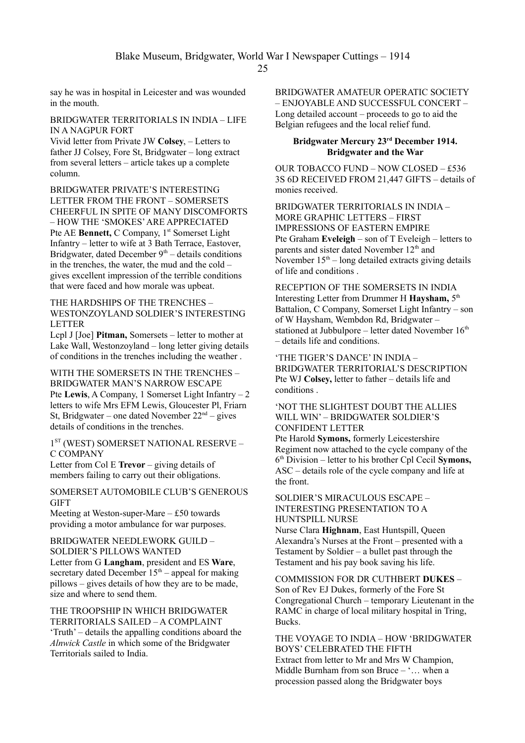say he was in hospital in Leicester and was wounded in the mouth.

#### BRIDGWATER TERRITORIALS IN INDIA – LIFE IN A NAGPUR FORT

Vivid letter from Private JW **Colsey**, – Letters to father JJ Colsey, Fore St, Bridgwater – long extract from several letters – article takes up a complete column.

BRIDGWATER PRIVATE'S INTERESTING LETTER FROM THE FRONT – SOMERSETS CHEERFUL IN SPITE OF MANY DISCOMFORTS – HOW THE 'SMOKES' ARE APPRECIATED Pte AE **Bennett,** C Company, 1<sup>st</sup> Somerset Light Infantry – letter to wife at 3 Bath Terrace, Eastover, Bridgwater, dated December  $9<sup>th</sup>$  – details conditions in the trenches, the water, the mud and the cold – gives excellent impression of the terrible conditions that were faced and how morale was upbeat.

#### THE HARDSHIPS OF THE TRENCHES – WESTONZOYLAND SOLDIER'S INTERESTING LETTER

Lcpl J [Joe] **Pitman,** Somersets – letter to mother at Lake Wall, Westonzoyland – long letter giving details of conditions in the trenches including the weather .

## WITH THE SOMERSETS IN THE TRENCHES – BRIDGWATER MAN'S NARROW ESCAPE Pte **Lewis**, A Company, 1 Somerset Light Infantry – 2 letters to wife Mrs EFM Lewis, Gloucester Pl, Friarn St, Bridgwater – one dated November  $22<sup>nd</sup>$  – gives details of conditions in the trenches.

1 ST (WEST) SOMERSET NATIONAL RESERVE – C COMPANY

Letter from Col E **Trevor** – giving details of members failing to carry out their obligations.

## SOMERSET AUTOMOBILE CLUB'S GENEROUS **GIFT**

Meeting at Weston-super-Mare – £50 towards providing a motor ambulance for war purposes.

BRIDGWATER NEEDLEWORK GUILD – SOLDIER'S PILLOWS WANTED Letter from G **Langham**, president and ES **Ware**, secretary dated December  $15<sup>th</sup>$  – appeal for making pillows – gives details of how they are to be made, size and where to send them.

THE TROOPSHIP IN WHICH BRIDGWATER TERRITORIALS SAILED – A COMPLAINT 'Truth' – details the appalling conditions aboard the *Alnwick Castle* in which some of the Bridgwater Territorials sailed to India.

BRIDGWATER AMATEUR OPERATIC SOCIETY – ENJOYABLE AND SUCCESSFUL CONCERT – Long detailed account – proceeds to go to aid the Belgian refugees and the local relief fund.

#### **Bridgwater Mercury 23rd December 1914. Bridgwater and the War**

OUR TOBACCO FUND – NOW CLOSED – £536 3S 6D RECEIVED FROM 21,447 GIFTS – details of monies received.

BRIDGWATER TERRITORIALS IN INDIA – MORE GRAPHIC LETTERS – FIRST IMPRESSIONS OF EASTERN EMPIRE Pte Graham **Eveleigh** – son of T Eveleigh – letters to parents and sister dated November 12<sup>th</sup> and November  $15<sup>th</sup>$  – long detailed extracts giving details of life and conditions .

RECEPTION OF THE SOMERSETS IN INDIA Interesting Letter from Drummer H **Haysham,** 5 th Battalion, C Company, Somerset Light Infantry – son of W Haysham, Wembdon Rd, Bridgwater – stationed at Jubbulpore – letter dated November  $16<sup>th</sup>$ – details life and conditions.

'THE TIGER'S DANCE' IN INDIA – BRIDGWATER TERRITORIAL'S DESCRIPTION Pte WJ **Colsey,** letter to father – details life and conditions .

## 'NOT THE SLIGHTEST DOUBT THE ALLIES WILL WIN' – BRIDGWATER SOLDIER'S CONFIDENT LETTER

Pte Harold **Symons,** formerly Leicestershire Regiment now attached to the cycle company of the 6 th Division – letter to his brother Cpl Cecil **Symons,** ASC – details role of the cycle company and life at the front.

SOLDIER'S MIRACULOUS ESCAPE – INTERESTING PRESENTATION TO A HUNTSPILL NURSE

Nurse Clara **Highnam**, East Huntspill, Queen Alexandra's Nurses at the Front – presented with a Testament by Soldier – a bullet past through the Testament and his pay book saving his life.

COMMISSION FOR DR CUTHBERT **DUKES** – Son of Rev EJ Dukes, formerly of the Fore St Congregational Church – temporary Lieutenant in the RAMC in charge of local military hospital in Tring, **Bucks**.

THE VOYAGE TO INDIA – HOW 'BRIDGWATER BOYS' CELEBRATED THE FIFTH Extract from letter to Mr and Mrs W Champion, Middle Burnham from son Bruce – '… when a procession passed along the Bridgwater boys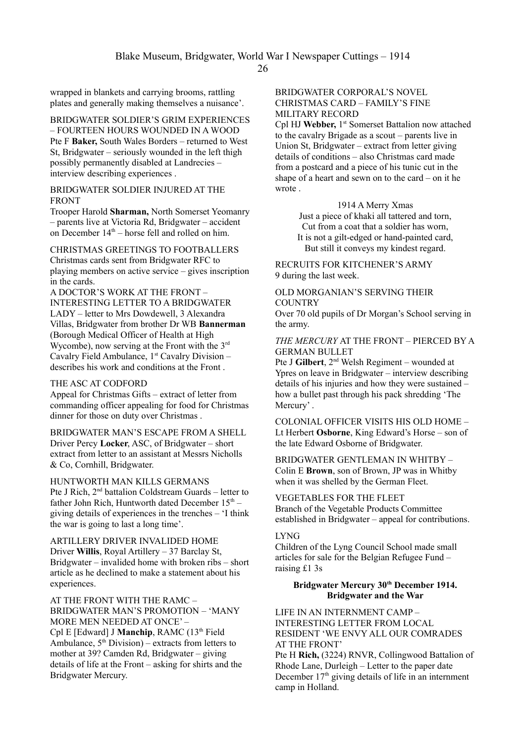wrapped in blankets and carrying brooms, rattling plates and generally making themselves a nuisance'.

BRIDGWATER SOLDIER'S GRIM EXPERIENCES – FOURTEEN HOURS WOUNDED IN A WOOD Pte F **Baker,** South Wales Borders – returned to West St, Bridgwater – seriously wounded in the left thigh possibly permanently disabled at Landrecies – interview describing experiences .

## BRIDGWATER SOLDIER INJURED AT THE FRONT

Trooper Harold **Sharman,** North Somerset Yeomanry – parents live at Victoria Rd, Bridgwater – accident on December  $14<sup>th</sup>$  – horse fell and rolled on him.

CHRISTMAS GREETINGS TO FOOTBALLERS Christmas cards sent from Bridgwater RFC to playing members on active service – gives inscription in the cards.

A DOCTOR'S WORK AT THE FRONT – INTERESTING LETTER TO A BRIDGWATER LADY – letter to Mrs Dowdewell, 3 Alexandra Villas, Bridgwater from brother Dr WB **Bannerman** (Borough Medical Officer of Health at High Wycombe), now serving at the Front with the 3<sup>rd</sup> Cavalry Field Ambulance, 1<sup>st</sup> Cavalry Division describes his work and conditions at the Front

#### THE ASC AT CODFORD

Appeal for Christmas Gifts – extract of letter from commanding officer appealing for food for Christmas dinner for those on duty over Christmas .

#### BRIDGWATER MAN'S ESCAPE FROM A SHELL

Driver Percy **Locker**, ASC, of Bridgwater – short extract from letter to an assistant at Messrs Nicholls & Co, Cornhill, Bridgwater.

HUNTWORTH MAN KILLS GERMANS Pte J Rich, 2nd battalion Coldstream Guards – letter to father John Rich, Huntworth dated December  $15<sup>th</sup>$  – giving details of experiences in the trenches – 'I think the war is going to last a long time'.

ARTILLERY DRIVER INVALIDED HOME Driver **Willis**, Royal Artillery – 37 Barclay St, Bridgwater – invalided home with broken ribs – short article as he declined to make a statement about his experiences.

AT THE FRONT WITH THE RAMC – BRIDGWATER MAN'S PROMOTION – 'MANY MORE MEN NEEDED AT ONCE' – Cpl E [Edward] J **Manchip**, RAMC (13<sup>th</sup> Field Ambulance,  $5<sup>th</sup> Division$ ) – extracts from letters to mother at 39? Camden Rd, Bridgwater – giving details of life at the Front – asking for shirts and the Bridgwater Mercury.

## BRIDGWATER CORPORAL'S NOVEL CHRISTMAS CARD – FAMILY'S FINE MILITARY RECORD

Cpl HJ Webber, 1<sup>st</sup> Somerset Battalion now attached to the cavalry Brigade as a scout – parents live in Union St, Bridgwater – extract from letter giving details of conditions – also Christmas card made from a postcard and a piece of his tunic cut in the shape of a heart and sewn on to the card – on it he wrote .

> 1914 A Merry Xmas Just a piece of khaki all tattered and torn, Cut from a coat that a soldier has worn, It is not a gilt-edged or hand-painted card, But still it conveys my kindest regard.

RECRUITS FOR KITCHENER'S ARMY 9 during the last week.

OLD MORGANIAN'S SERVING THEIR **COUNTRY** 

Over 70 old pupils of Dr Morgan's School serving in the army.

*THE MERCURY* AT THE FRONT – PIERCED BY A GERMAN BULLET

Pte J Gilbert, 2<sup>nd</sup> Welsh Regiment – wounded at Ypres on leave in Bridgwater – interview describing details of his injuries and how they were sustained – how a bullet past through his pack shredding 'The Mercury'.

COLONIAL OFFICER VISITS HIS OLD HOME – Lt Herbert **Osborne**, King Edward's Horse – son of the late Edward Osborne of Bridgwater.

BRIDGWATER GENTLEMAN IN WHITBY – Colin E **Brown**, son of Brown, JP was in Whitby when it was shelled by the German Fleet.

VEGETABLES FOR THE FLEET Branch of the Vegetable Products Committee established in Bridgwater – appeal for contributions.

#### LYNG

Children of the Lyng Council School made small articles for sale for the Belgian Refugee Fund – raising £1 3s

## **Bridgwater Mercury 30th December 1914. Bridgwater and the War**

LIFE IN AN INTERNMENT CAMP – INTERESTING LETTER FROM LOCAL RESIDENT 'WE ENVY ALL OUR COMRADES AT THE FRONT'

Pte H **Rich,** (3224) RNVR, Collingwood Battalion of Rhode Lane, Durleigh – Letter to the paper date December  $17<sup>th</sup>$  giving details of life in an internment camp in Holland.